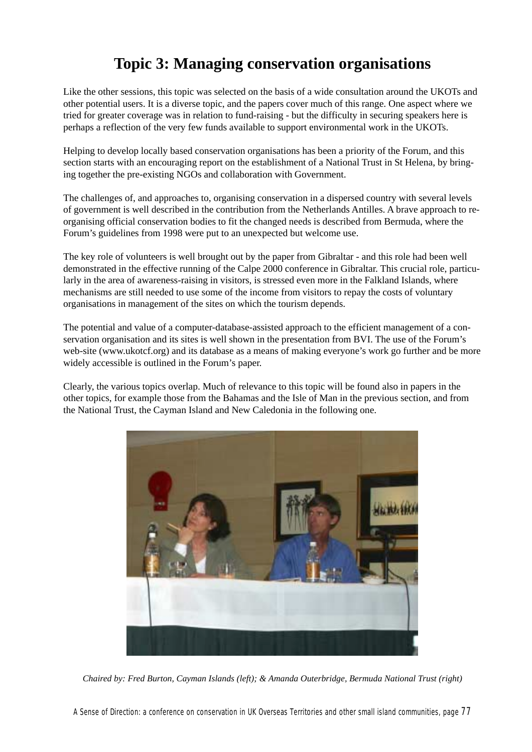# **Topic 3: Managing conservation organisations**

Like the other sessions, this topic was selected on the basis of a wide consultation around the UKOTs and other potential users. It is a diverse topic, and the papers cover much of this range. One aspect where we tried for greater coverage was in relation to fund-raising - but the difficulty in securing speakers here is perhaps a reflection of the very few funds available to support environmental work in the UKOTs.

Helping to develop locally based conservation organisations has been a priority of the Forum, and this section starts with an encouraging report on the establishment of a National Trust in St Helena, by bringing together the pre-existing NGOs and collaboration with Government.

The challenges of, and approaches to, organising conservation in a dispersed country with several levels of government is well described in the contribution from the Netherlands Antilles. A brave approach to reorganising official conservation bodies to fit the changed needs is described from Bermuda, where the Forum's guidelines from 1998 were put to an unexpected but welcome use.

The key role of volunteers is well brought out by the paper from Gibraltar - and this role had been well demonstrated in the effective running of the Calpe 2000 conference in Gibraltar. This crucial role, particularly in the area of awareness-raising in visitors, is stressed even more in the Falkland Islands, where mechanisms are still needed to use some of the income from visitors to repay the costs of voluntary organisations in management of the sites on which the tourism depends.

The potential and value of a computer-database-assisted approach to the efficient management of a conservation organisation and its sites is well shown in the presentation from BVI. The use of the Forum's web-site (www.ukotcf.org) and its database as a means of making everyone's work go further and be more widely accessible is outlined in the Forum's paper.

Clearly, the various topics overlap. Much of relevance to this topic will be found also in papers in the other topics, for example those from the Bahamas and the Isle of Man in the previous section, and from the National Trust, the Cayman Island and New Caledonia in the following one.



*Chaired by: Fred Burton, Cayman Islands (left); & Amanda Outerbridge, Bermuda National Trust (right)*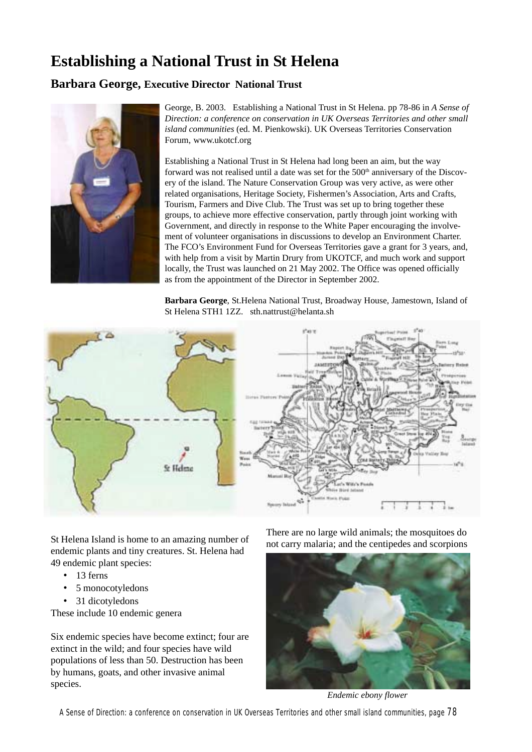# **Establishing a National Trust in St Helena**

# **Barbara George, Executive Director National Trust**



George, B. 2003. Establishing a National Trust in St Helena. pp 78-86 in *A Sense of Direction: a conference on conservation in UK Overseas Territories and other small island communities* (ed. M. Pienkowski). UK Overseas Territories Conservation Forum, www.ukotcf.org

Establishing a National Trust in St Helena had long been an aim, but the way forward was not realised until a date was set for the 500<sup>th</sup> anniversary of the Discovery of the island. The Nature Conservation Group was very active, as were other related organisations, Heritage Society, Fishermen's Association, Arts and Crafts, Tourism, Farmers and Dive Club. The Trust was set up to bring together these groups, to achieve more effective conservation, partly through joint working with Government, and directly in response to the White Paper encouraging the involvement of volunteer organisations in discussions to develop an Environment Charter. The FCO's Environment Fund for Overseas Territories gave a grant for 3 years, and, with help from a visit by Martin Drury from UKOTCF, and much work and support locally, the Trust was launched on 21 May 2002. The Office was opened officially as from the appointment of the Director in September 2002.

**Barbara George**, St.Helena National Trust, Broadway House, Jamestown, Island of St Helena STH1 1ZZ. sth.nattrust@helanta.sh



St Helena Island is home to an amazing number of endemic plants and tiny creatures. St. Helena had 49 endemic plant species:

- 13 ferns
- 5 monocotyledons
- 31 dicotyledons

These include 10 endemic genera

Six endemic species have become extinct; four are extinct in the wild; and four species have wild populations of less than 50. Destruction has been by humans, goats, and other invasive animal species.

There are no large wild animals; the mosquitoes do not carry malaria; and the centipedes and scorpions



*Endemic ebony flower*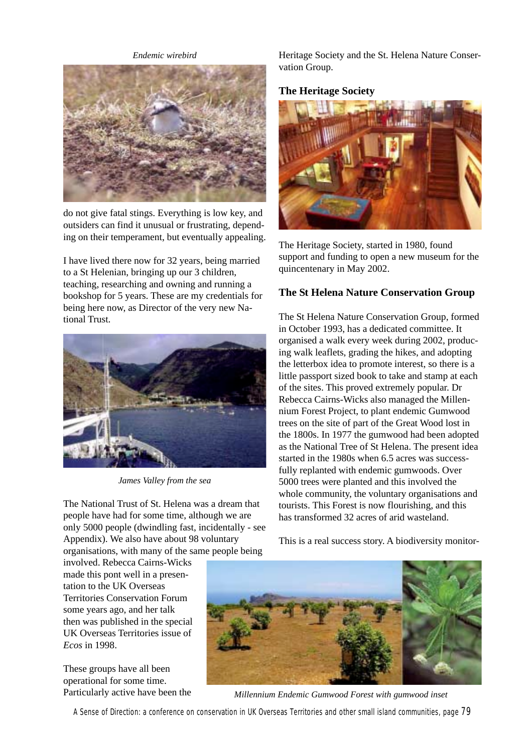*Endemic wirebird*



do not give fatal stings. Everything is low key, and outsiders can find it unusual or frustrating, depending on their temperament, but eventually appealing.

I have lived there now for 32 years, being married to a St Helenian, bringing up our 3 children, teaching, researching and owning and running a bookshop for 5 years. These are my credentials for being here now, as Director of the very new National Trust.



*James Valley from the sea*

The National Trust of St. Helena was a dream that people have had for some time, although we are only 5000 people (dwindling fast, incidentally - see Appendix). We also have about 98 voluntary organisations, with many of the same people being

involved. Rebecca Cairns-Wicks made this pont well in a presentation to the UK Overseas Territories Conservation Forum some years ago, and her talk then was published in the special UK Overseas Territories issue of *Ecos* in 1998.

These groups have all been operational for some time. Particularly active have been the Heritage Society and the St. Helena Nature Conservation Group.

## **The Heritage Society**



The Heritage Society, started in 1980, found support and funding to open a new museum for the quincentenary in May 2002.

# **The St Helena Nature Conservation Group**

The St Helena Nature Conservation Group, formed in October 1993, has a dedicated committee. It organised a walk every week during 2002, producing walk leaflets, grading the hikes, and adopting the letterbox idea to promote interest, so there is a little passport sized book to take and stamp at each of the sites. This proved extremely popular. Dr Rebecca Cairns-Wicks also managed the Millennium Forest Project, to plant endemic Gumwood trees on the site of part of the Great Wood lost in the 1800s. In 1977 the gumwood had been adopted as the National Tree of St Helena. The present idea started in the 1980s when 6.5 acres was successfully replanted with endemic gumwoods. Over 5000 trees were planted and this involved the whole community, the voluntary organisations and tourists. This Forest is now flourishing, and this has transformed 32 acres of arid wasteland.

This is a real success story. A biodiversity monitor-



*Millennium Endemic Gumwood Forest with gumwood inset*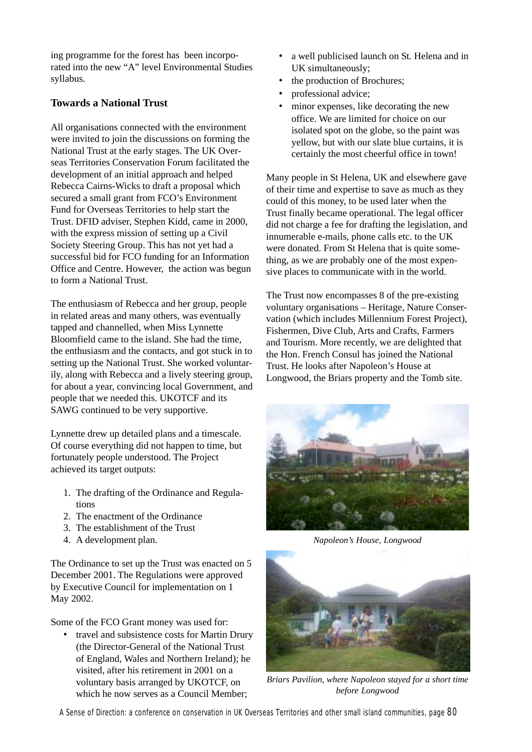ing programme for the forest has been incorporated into the new "A" level Environmental Studies syllabus.

# **Towards a National Trust**

All organisations connected with the environment were invited to join the discussions on forming the National Trust at the early stages. The UK Overseas Territories Conservation Forum facilitated the development of an initial approach and helped Rebecca Cairns-Wicks to draft a proposal which secured a small grant from FCO's Environment Fund for Overseas Territories to help start the Trust. DFID adviser, Stephen Kidd, came in 2000, with the express mission of setting up a Civil Society Steering Group. This has not yet had a successful bid for FCO funding for an Information Office and Centre. However, the action was begun to form a National Trust.

The enthusiasm of Rebecca and her group, people in related areas and many others, was eventually tapped and channelled, when Miss Lynnette Bloomfield came to the island. She had the time, the enthusiasm and the contacts, and got stuck in to setting up the National Trust. She worked voluntarily, along with Rebecca and a lively steering group, for about a year, convincing local Government, and people that we needed this. UKOTCF and its SAWG continued to be very supportive.

Lynnette drew up detailed plans and a timescale. Of course everything did not happen to time, but fortunately people understood. The Project achieved its target outputs:

- 1. The drafting of the Ordinance and Regulations
- 2. The enactment of the Ordinance
- 3. The establishment of the Trust
- 4. A development plan.

The Ordinance to set up the Trust was enacted on 5 December 2001. The Regulations were approved by Executive Council for implementation on 1 May 2002.

Some of the FCO Grant money was used for:

• travel and subsistence costs for Martin Drury (the Director-General of the National Trust of England, Wales and Northern Ireland); he visited, after his retirement in 2001 on a voluntary basis arranged by UKOTCF, on which he now serves as a Council Member:

- a well publicised launch on St. Helena and in UK simultaneously;
- the production of Brochures;
- professional advice;
- minor expenses, like decorating the new office. We are limited for choice on our isolated spot on the globe, so the paint was yellow, but with our slate blue curtains, it is certainly the most cheerful office in town!

Many people in St Helena, UK and elsewhere gave of their time and expertise to save as much as they could of this money, to be used later when the Trust finally became operational. The legal officer did not charge a fee for drafting the legislation, and innumerable e-mails, phone calls etc. to the UK were donated. From St Helena that is quite something, as we are probably one of the most expensive places to communicate with in the world.

The Trust now encompasses 8 of the pre-existing voluntary organisations – Heritage, Nature Conservation (which includes Millennium Forest Project), Fishermen, Dive Club, Arts and Crafts, Farmers and Tourism. More recently, we are delighted that the Hon. French Consul has joined the National Trust. He looks after Napoleon's House at Longwood, the Briars property and the Tomb site.



*Napoleon's House, Longwood*



*Briars Pavilion, where Napoleon stayed for a short time before Longwood*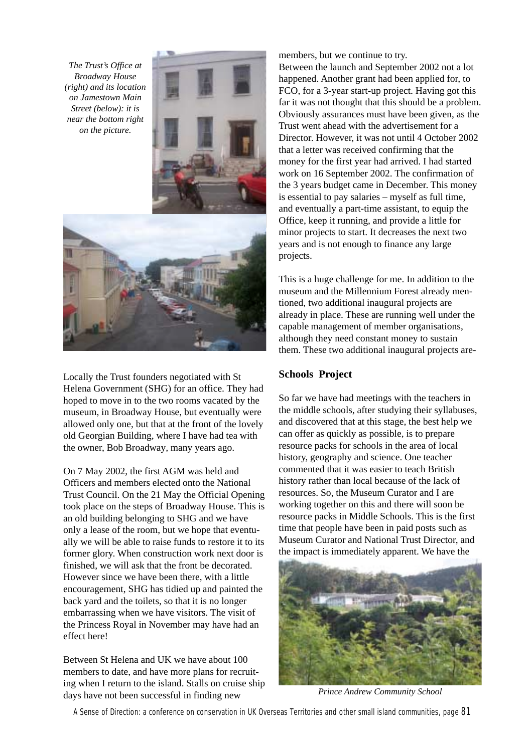*The Trust's Office at Broadway House (right) and its location on Jamestown Main Street (below): it is near the bottom right on the picture.*





Locally the Trust founders negotiated with St Helena Government (SHG) for an office. They had hoped to move in to the two rooms vacated by the museum, in Broadway House, but eventually were allowed only one, but that at the front of the lovely old Georgian Building, where I have had tea with the owner, Bob Broadway*,* many years ago.

On 7 May 2002, the first AGM was held and Officers and members elected onto the National Trust Council. On the 21 May the Official Opening took place on the steps of Broadway House. This is an old building belonging to SHG and we have only a lease of the room, but we hope that eventually we will be able to raise funds to restore it to its former glory. When construction work next door is finished, we will ask that the front be decorated. However since we have been there, with a little encouragement, SHG has tidied up and painted the back yard and the toilets, so that it is no longer embarrassing when we have visitors. The visit of the Princess Royal in November may have had an effect here!

Between St Helena and UK we have about 100 members to date, and have more plans for recruiting when I return to the island. Stalls on cruise ship days have not been successful in finding new

members, but we continue to try. Between the launch and September 2002 not a lot happened. Another grant had been applied for, to FCO, for a 3-year start-up project. Having got this far it was not thought that this should be a problem. Obviously assurances must have been given, as the Trust went ahead with the advertisement for a Director. However, it was not until 4 October 2002 that a letter was received confirming that the money for the first year had arrived. I had started work on 16 September 2002. The confirmation of the 3 years budget came in December. This money is essential to pay salaries – myself as full time, and eventually a part-time assistant, to equip the Office, keep it running, and provide a little for minor projects to start. It decreases the next two years and is not enough to finance any large projects.

This is a huge challenge for me. In addition to the museum and the Millennium Forest already mentioned, two additional inaugural projects are already in place. These are running well under the capable management of member organisations, although they need constant money to sustain them. These two additional inaugural projects are-

## **Schools Project**

So far we have had meetings with the teachers in the middle schools, after studying their syllabuses, and discovered that at this stage, the best help we can offer as quickly as possible, is to prepare resource packs for schools in the area of local history, geography and science. One teacher commented that it was easier to teach British history rather than local because of the lack of resources. So, the Museum Curator and I are working together on this and there will soon be resource packs in Middle Schools. This is the first time that people have been in paid posts such as Museum Curator and National Trust Director, and the impact is immediately apparent. We have the



*Prince Andrew Community School*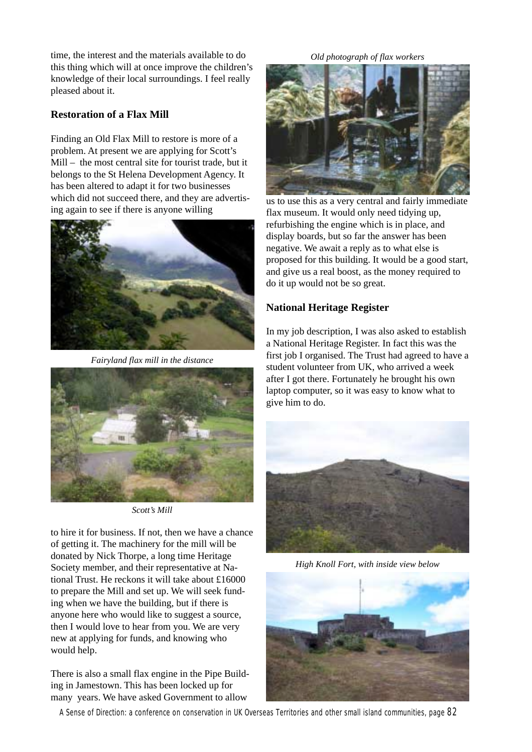time, the interest and the materials available to do this thing which will at once improve the children's knowledge of their local surroundings. I feel really pleased about it.

## **Restoration of a Flax Mill**

Finding an Old Flax Mill to restore is more of a problem. At present we are applying for Scott's Mill – the most central site for tourist trade, but it belongs to the St Helena Development Agency. It has been altered to adapt it for two businesses which did not succeed there, and they are advertising again to see if there is anyone willing



*Fairyland flax mill in the distance*



*Scott's Mill*

to hire it for business. If not, then we have a chance of getting it. The machinery for the mill will be donated by Nick Thorpe, a long time Heritage Society member, and their representative at National Trust. He reckons it will take about £16000 to prepare the Mill and set up. We will seek funding when we have the building, but if there is anyone here who would like to suggest a source, then I would love to hear from you. We are very new at applying for funds, and knowing who would help.

There is also a small flax engine in the Pipe Building in Jamestown. This has been locked up for many years. We have asked Government to allow

#### *Old photograph of flax workers*



us to use this as a very central and fairly immediate flax museum. It would only need tidying up, refurbishing the engine which is in place, and display boards, but so far the answer has been negative. We await a reply as to what else is proposed for this building. It would be a good start, and give us a real boost, as the money required to do it up would not be so great.

## **National Heritage Register**

In my job description, I was also asked to establish a National Heritage Register. In fact this was the first job I organised. The Trust had agreed to have a student volunteer from UK, who arrived a week after I got there. Fortunately he brought his own laptop computer, so it was easy to know what to give him to do.



*High Knoll Fort, with inside view below*

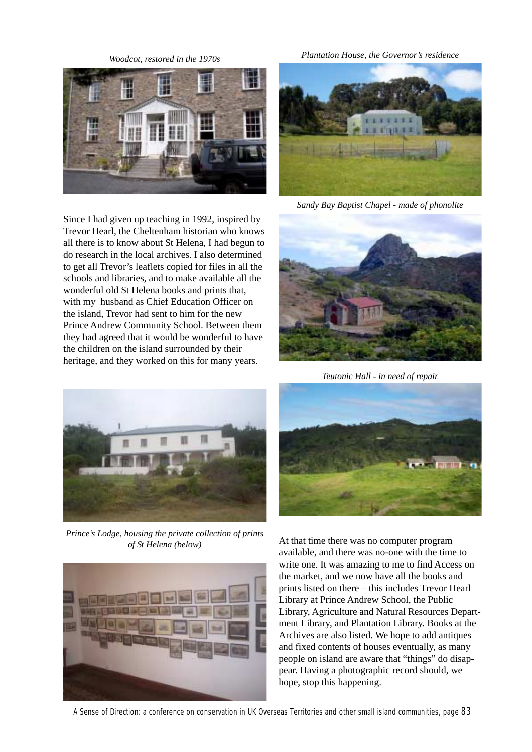*Woodcot, restored in the 1970s*



Since I had given up teaching in 1992, inspired by Trevor Hearl, the Cheltenham historian who knows all there is to know about St Helena, I had begun to do research in the local archives. I also determined to get all Trevor's leaflets copied for files in all the schools and libraries, and to make available all the wonderful old St Helena books and prints that, with my husband as Chief Education Officer on the island, Trevor had sent to him for the new Prince Andrew Community School. Between them they had agreed that it would be wonderful to have the children on the island surrounded by their heritage, and they worked on this for many years.

*Plantation House, the Governor's residence*



*Sandy Bay Baptist Chapel - made of phonolite*



*Teutonic Hall - in need of repair*



*Prince's Lodge, housing the private collection of prints of St Helena (below)*





At that time there was no computer program available, and there was no-one with the time to write one. It was amazing to me to find Access on the market, and we now have all the books and prints listed on there – this includes Trevor Hearl Library at Prince Andrew School, the Public Library, Agriculture and Natural Resources Department Library, and Plantation Library. Books at the Archives are also listed. We hope to add antiques and fixed contents of houses eventually, as many people on island are aware that "things" do disappear. Having a photographic record should, we hope, stop this happening.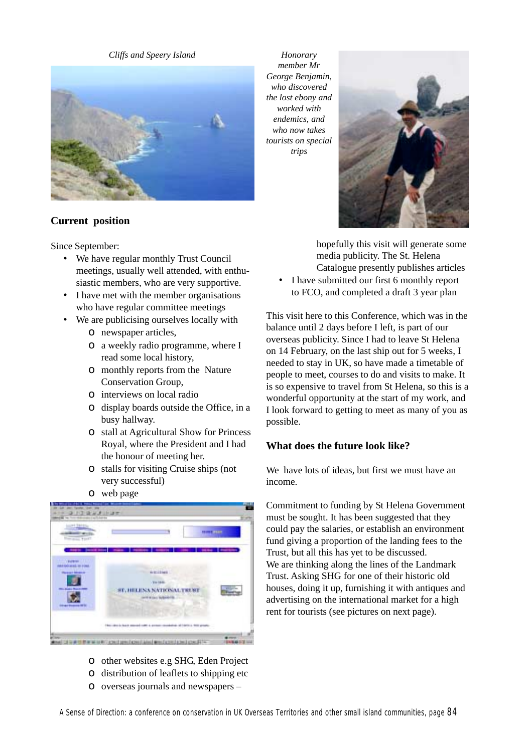#### *Cliffs and Speery Island*



#### **Current position**

Since September:

- We have regular monthly Trust Council meetings, usually well attended, with enthusiastic members, who are very supportive.
- I have met with the member organisations who have regular committee meetings
- We are publicising ourselves locally with
	- ο newspaper articles,
	- ο a weekly radio programme, where I read some local history,
	- ο monthly reports from the Nature Conservation Group,
	- ο interviews on local radio
	- ο display boards outside the Office, in a busy hallway.
	- ο stall at Agricultural Show for Princess Royal, where the President and I had the honour of meeting her.
	- ο stalls for visiting Cruise ships (not very successful)
	- ο web page



- ο other websites e.g SHG, Eden Project
- ο distribution of leaflets to shipping etc
- ο overseas journals and newspapers –

*Honorary member Mr George Benjamin, who discovered the lost ebony and worked with endemics, and who now takes tourists on special trips*



hopefully this visit will generate some media publicity. The St. Helena Catalogue presently publishes articles

• I have submitted our first 6 monthly report to FCO, and completed a draft 3 year plan

This visit here to this Conference, which was in the balance until 2 days before I left, is part of our overseas publicity. Since I had to leave St Helena on 14 February, on the last ship out for 5 weeks, I needed to stay in UK, so have made a timetable of people to meet, courses to do and visits to make. It is so expensive to travel from St Helena, so this is a wonderful opportunity at the start of my work, and I look forward to getting to meet as many of you as possible.

## **What does the future look like?**

We have lots of ideas, but first we must have an income.

Commitment to funding by St Helena Government must be sought. It has been suggested that they could pay the salaries, or establish an environment fund giving a proportion of the landing fees to the Trust, but all this has yet to be discussed. We are thinking along the lines of the Landmark Trust. Asking SHG for one of their historic old houses, doing it up, furnishing it with antiques and advertising on the international market for a high rent for tourists (see pictures on next page).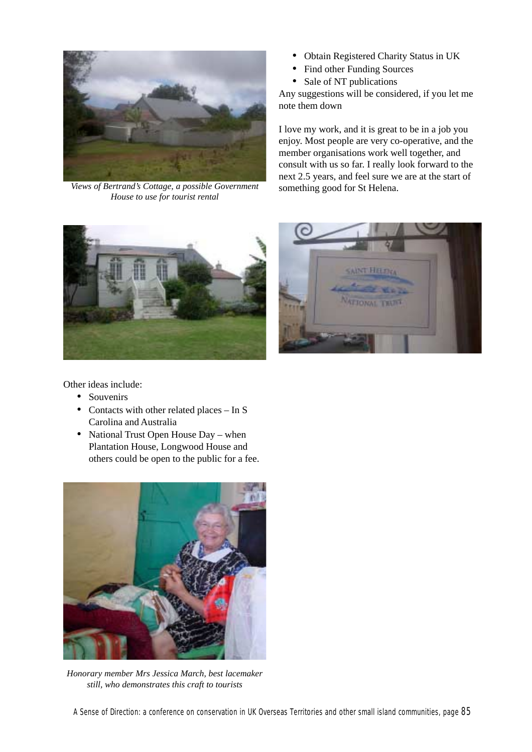

*Views of Bertrand's Cottage, a possible Government House to use for tourist rental*

- Obtain Registered Charity Status in UK
- Find other Funding Sources
- Sale of NT publications

Any suggestions will be considered, if you let me note them down

I love my work, and it is great to be in a job you enjoy. Most people are very co-operative, and the member organisations work well together, and consult with us so far. I really look forward to the next 2.5 years, and feel sure we are at the start of something good for St Helena.





Other ideas include:

- Souvenirs
- Contacts with other related places In S Carolina and Australia
- National Trust Open House Day when Plantation House, Longwood House and others could be open to the public for a fee.



*Honorary member Mrs Jessica March, best lacemaker still, who demonstrates this craft to tourists*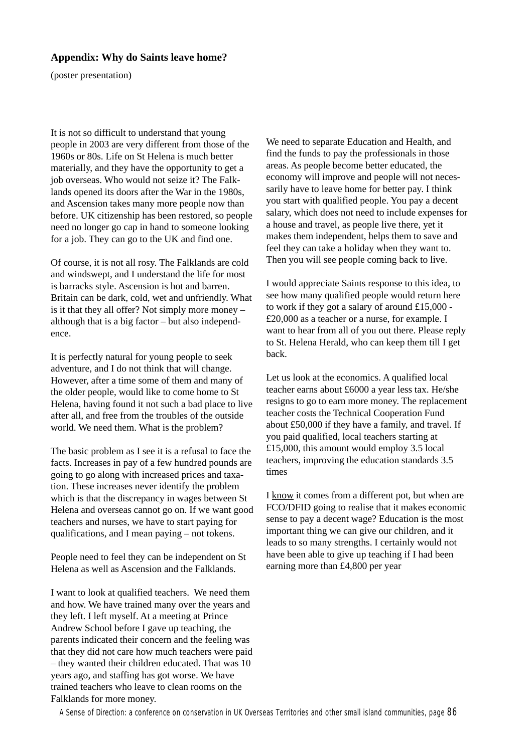#### **Appendix: Why do Saints leave home?**

(poster presentation)

It is not so difficult to understand that young people in 2003 are very different from those of the 1960s or 80s. Life on St Helena is much better materially, and they have the opportunity to get a job overseas. Who would not seize it? The Falklands opened its doors after the War in the 1980s, and Ascension takes many more people now than before. UK citizenship has been restored, so people need no longer go cap in hand to someone looking for a job. They can go to the UK and find one.

Of course, it is not all rosy. The Falklands are cold and windswept, and I understand the life for most is barracks style. Ascension is hot and barren. Britain can be dark, cold, wet and unfriendly. What is it that they all offer? Not simply more money – although that is a big factor – but also independence.

It is perfectly natural for young people to seek adventure, and I do not think that will change. However, after a time some of them and many of the older people, would like to come home to St Helena, having found it not such a bad place to live after all, and free from the troubles of the outside world. We need them. What is the problem?

The basic problem as I see it is a refusal to face the facts. Increases in pay of a few hundred pounds are going to go along with increased prices and taxation. These increases never identify the problem which is that the discrepancy in wages between St Helena and overseas cannot go on. If we want good teachers and nurses, we have to start paying for qualifications, and I mean paying – not tokens.

People need to feel they can be independent on St Helena as well as Ascension and the Falklands.

I want to look at qualified teachers. We need them and how. We have trained many over the years and they left. I left myself. At a meeting at Prince Andrew School before I gave up teaching, the parents indicated their concern and the feeling was that they did not care how much teachers were paid – they wanted their children educated. That was 10 years ago, and staffing has got worse. We have trained teachers who leave to clean rooms on the Falklands for more money.

We need to separate Education and Health, and find the funds to pay the professionals in those areas. As people become better educated, the economy will improve and people will not necessarily have to leave home for better pay. I think you start with qualified people. You pay a decent salary, which does not need to include expenses for a house and travel, as people live there, yet it makes them independent, helps them to save and feel they can take a holiday when they want to. Then you will see people coming back to live.

I would appreciate Saints response to this idea, to see how many qualified people would return here to work if they got a salary of around £15,000 - £20,000 as a teacher or a nurse, for example. I want to hear from all of you out there. Please reply to St. Helena Herald, who can keep them till I get back.

Let us look at the economics. A qualified local teacher earns about £6000 a year less tax. He/she resigns to go to earn more money. The replacement teacher costs the Technical Cooperation Fund about £50,000 if they have a family, and travel. If you paid qualified, local teachers starting at £15,000, this amount would employ 3.5 local teachers, improving the education standards 3.5 times

I know it comes from a different pot, but when are FCO/DFID going to realise that it makes economic sense to pay a decent wage? Education is the most important thing we can give our children, and it leads to so many strengths. I certainly would not have been able to give up teaching if I had been earning more than £4,800 per year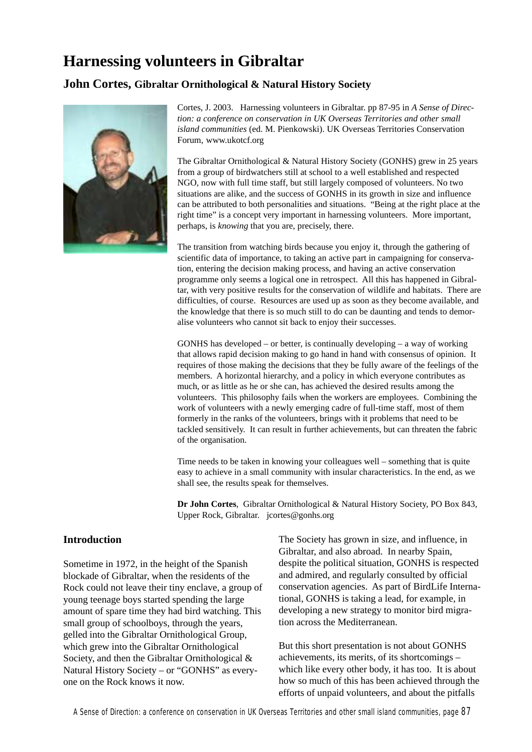# **Harnessing volunteers in Gibraltar**

## **John Cortes, Gibraltar Ornithological & Natural History Society**



Cortes, J. 2003. Harnessing volunteers in Gibraltar. pp 87-95 in *A Sense of Direction: a conference on conservation in UK Overseas Territories and other small island communities* (ed. M. Pienkowski). UK Overseas Territories Conservation Forum, www.ukotcf.org

The Gibraltar Ornithological & Natural History Society (GONHS) grew in 25 years from a group of birdwatchers still at school to a well established and respected NGO, now with full time staff, but still largely composed of volunteers. No two situations are alike, and the success of GONHS in its growth in size and influence can be attributed to both personalities and situations. "Being at the right place at the right time" is a concept very important in harnessing volunteers. More important, perhaps, is *knowing* that you are, precisely, there.

The transition from watching birds because you enjoy it, through the gathering of scientific data of importance, to taking an active part in campaigning for conservation, entering the decision making process, and having an active conservation programme only seems a logical one in retrospect. All this has happened in Gibraltar, with very positive results for the conservation of wildlife and habitats. There are difficulties, of course. Resources are used up as soon as they become available, and the knowledge that there is so much still to do can be daunting and tends to demoralise volunteers who cannot sit back to enjoy their successes.

GONHS has developed – or better, is continually developing – a way of working that allows rapid decision making to go hand in hand with consensus of opinion. It requires of those making the decisions that they be fully aware of the feelings of the members. A horizontal hierarchy, and a policy in which everyone contributes as much, or as little as he or she can, has achieved the desired results among the volunteers. This philosophy fails when the workers are employees. Combining the work of volunteers with a newly emerging cadre of full-time staff, most of them formerly in the ranks of the volunteers, brings with it problems that need to be tackled sensitively. It can result in further achievements, but can threaten the fabric of the organisation.

Time needs to be taken in knowing your colleagues well – something that is quite easy to achieve in a small community with insular characteristics. In the end, as we shall see, the results speak for themselves.

**Dr John Cortes**, Gibraltar Ornithological & Natural History Society, PO Box 843, Upper Rock, Gibraltar. jcortes@gonhs.org

## **Introduction**

Sometime in 1972, in the height of the Spanish blockade of Gibraltar, when the residents of the Rock could not leave their tiny enclave, a group of young teenage boys started spending the large amount of spare time they had bird watching. This small group of schoolboys, through the years, gelled into the Gibraltar Ornithological Group, which grew into the Gibraltar Ornithological Society, and then the Gibraltar Ornithological & Natural History Society – or "GONHS" as everyone on the Rock knows it now.

The Society has grown in size, and influence, in Gibraltar, and also abroad. In nearby Spain, despite the political situation, GONHS is respected and admired, and regularly consulted by official conservation agencies. As part of BirdLife International, GONHS is taking a lead, for example, in developing a new strategy to monitor bird migration across the Mediterranean.

But this short presentation is not about GONHS achievements, its merits, of its shortcomings – which like every other body, it has too. It is about how so much of this has been achieved through the efforts of unpaid volunteers, and about the pitfalls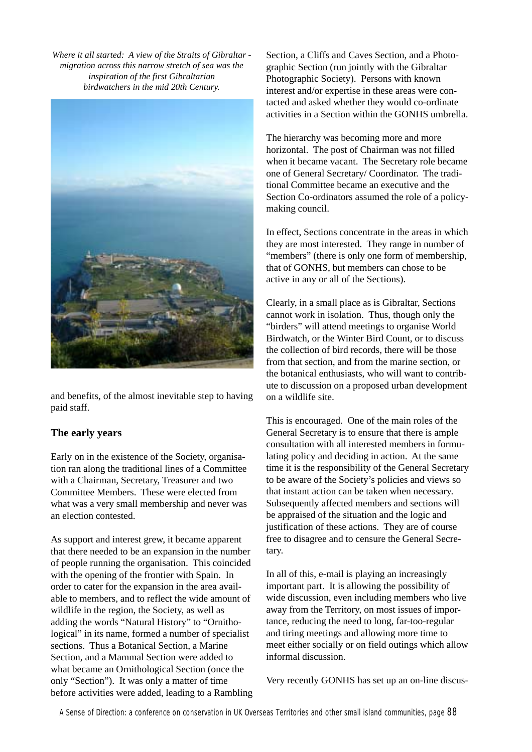*Where it all started: A view of the Straits of Gibraltar migration across this narrow stretch of sea was the inspiration of the first Gibraltarian birdwatchers in the mid 20th Century.*



and benefits, of the almost inevitable step to having paid staff.

#### **The early years**

Early on in the existence of the Society, organisation ran along the traditional lines of a Committee with a Chairman, Secretary, Treasurer and two Committee Members. These were elected from what was a very small membership and never was an election contested.

As support and interest grew, it became apparent that there needed to be an expansion in the number of people running the organisation. This coincided with the opening of the frontier with Spain. In order to cater for the expansion in the area available to members, and to reflect the wide amount of wildlife in the region, the Society, as well as adding the words "Natural History" to "Ornithological" in its name, formed a number of specialist sections. Thus a Botanical Section, a Marine Section, and a Mammal Section were added to what became an Ornithological Section (once the only "Section"). It was only a matter of time before activities were added, leading to a Rambling Section, a Cliffs and Caves Section, and a Photographic Section (run jointly with the Gibraltar Photographic Society). Persons with known interest and/or expertise in these areas were contacted and asked whether they would co-ordinate activities in a Section within the GONHS umbrella.

The hierarchy was becoming more and more horizontal. The post of Chairman was not filled when it became vacant. The Secretary role became one of General Secretary/ Coordinator. The traditional Committee became an executive and the Section Co-ordinators assumed the role of a policymaking council.

In effect, Sections concentrate in the areas in which they are most interested. They range in number of "members" (there is only one form of membership, that of GONHS, but members can chose to be active in any or all of the Sections).

Clearly, in a small place as is Gibraltar, Sections cannot work in isolation. Thus, though only the "birders" will attend meetings to organise World Birdwatch, or the Winter Bird Count, or to discuss the collection of bird records, there will be those from that section, and from the marine section, or the botanical enthusiasts, who will want to contribute to discussion on a proposed urban development on a wildlife site.

This is encouraged. One of the main roles of the General Secretary is to ensure that there is ample consultation with all interested members in formulating policy and deciding in action. At the same time it is the responsibility of the General Secretary to be aware of the Society's policies and views so that instant action can be taken when necessary. Subsequently affected members and sections will be appraised of the situation and the logic and justification of these actions. They are of course free to disagree and to censure the General Secretary.

In all of this, e-mail is playing an increasingly important part. It is allowing the possibility of wide discussion, even including members who live away from the Territory, on most issues of importance, reducing the need to long, far-too-regular and tiring meetings and allowing more time to meet either socially or on field outings which allow informal discussion.

Very recently GONHS has set up an on-line discus-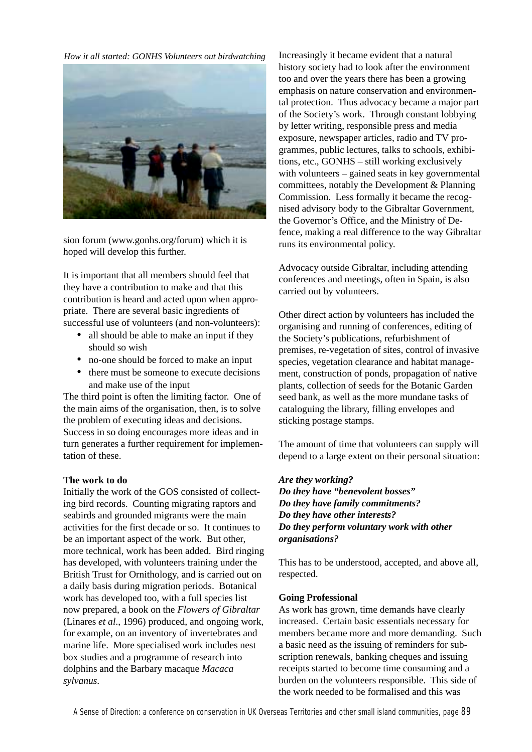*How it all started: GONHS Volunteers out birdwatching*



sion forum (www.gonhs.org/forum) which it is hoped will develop this further.

It is important that all members should feel that they have a contribution to make and that this contribution is heard and acted upon when appropriate. There are several basic ingredients of successful use of volunteers (and non-volunteers):

- all should be able to make an input if they should so wish
- no-one should be forced to make an input
- there must be someone to execute decisions and make use of the input

The third point is often the limiting factor. One of the main aims of the organisation, then, is to solve the problem of executing ideas and decisions. Success in so doing encourages more ideas and in turn generates a further requirement for implementation of these.

#### **The work to do**

Initially the work of the GOS consisted of collecting bird records. Counting migrating raptors and seabirds and grounded migrants were the main activities for the first decade or so. It continues to be an important aspect of the work. But other, more technical, work has been added. Bird ringing has developed, with volunteers training under the British Trust for Ornithology, and is carried out on a daily basis during migration periods. Botanical work has developed too, with a full species list now prepared, a book on the *Flowers of Gibraltar* (Linares *et al*., 1996) produced, and ongoing work, for example, on an inventory of invertebrates and marine life. More specialised work includes nest box studies and a programme of research into dolphins and the Barbary macaque *Macaca sylvanus*.

Increasingly it became evident that a natural history society had to look after the environment too and over the years there has been a growing emphasis on nature conservation and environmental protection. Thus advocacy became a major part of the Society's work. Through constant lobbying by letter writing, responsible press and media exposure, newspaper articles, radio and TV programmes, public lectures, talks to schools, exhibitions, etc., GONHS – still working exclusively with volunteers – gained seats in key governmental committees, notably the Development & Planning Commission. Less formally it became the recognised advisory body to the Gibraltar Government, the Governor's Office, and the Ministry of Defence, making a real difference to the way Gibraltar runs its environmental policy.

Advocacy outside Gibraltar, including attending conferences and meetings, often in Spain, is also carried out by volunteers.

Other direct action by volunteers has included the organising and running of conferences, editing of the Society's publications, refurbishment of premises, re-vegetation of sites, control of invasive species, vegetation clearance and habitat management, construction of ponds, propagation of native plants, collection of seeds for the Botanic Garden seed bank, as well as the more mundane tasks of cataloguing the library, filling envelopes and sticking postage stamps.

The amount of time that volunteers can supply will depend to a large extent on their personal situation:

#### *Are they working?*

*Do they have "benevolent bosses" Do they have family commitments? Do they have other interests? Do they perform voluntary work with other organisations?*

This has to be understood, accepted, and above all, respected.

#### **Going Professional**

As work has grown, time demands have clearly increased. Certain basic essentials necessary for members became more and more demanding. Such a basic need as the issuing of reminders for subscription renewals, banking cheques and issuing receipts started to become time consuming and a burden on the volunteers responsible. This side of the work needed to be formalised and this was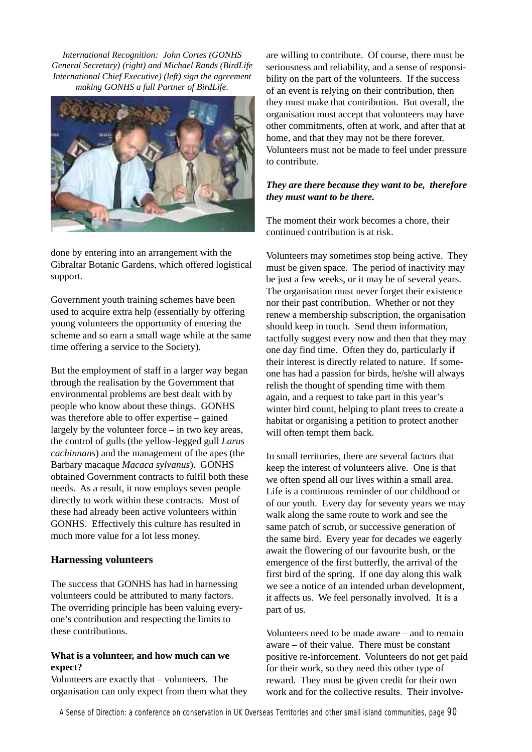*International Recognition: John Cortes (GONHS General Secretary) (right) and Michael Rands (BirdLife International Chief Executive) (left) sign the agreement making GONHS a full Partner of BirdLife.*



done by entering into an arrangement with the Gibraltar Botanic Gardens, which offered logistical support.

Government youth training schemes have been used to acquire extra help (essentially by offering young volunteers the opportunity of entering the scheme and so earn a small wage while at the same time offering a service to the Society).

But the employment of staff in a larger way began through the realisation by the Government that environmental problems are best dealt with by people who know about these things. GONHS was therefore able to offer expertise – gained largely by the volunteer force – in two key areas, the control of gulls (the yellow-legged gull *Larus cachinnans*) and the management of the apes (the Barbary macaque *Macaca sylvanus*). GONHS obtained Government contracts to fulfil both these needs. As a result, it now employs seven people directly to work within these contracts. Most of these had already been active volunteers within GONHS. Effectively this culture has resulted in much more value for a lot less money.

#### **Harnessing volunteers**

The success that GONHS has had in harnessing volunteers could be attributed to many factors. The overriding principle has been valuing everyone's contribution and respecting the limits to these contributions.

#### **What is a volunteer, and how much can we expect?**

Volunteers are exactly that – volunteers. The organisation can only expect from them what they are willing to contribute. Of course, there must be seriousness and reliability, and a sense of responsibility on the part of the volunteers. If the success of an event is relying on their contribution, then they must make that contribution. But overall, the organisation must accept that volunteers may have other commitments, often at work, and after that at home, and that they may not be there forever. Volunteers must not be made to feel under pressure to contribute.

#### *They are there because they want to be, therefore they must want to be there.*

The moment their work becomes a chore, their continued contribution is at risk.

Volunteers may sometimes stop being active. They must be given space. The period of inactivity may be just a few weeks, or it may be of several years. The organisation must never forget their existence nor their past contribution. Whether or not they renew a membership subscription, the organisation should keep in touch. Send them information, tactfully suggest every now and then that they may one day find time. Often they do, particularly if their interest is directly related to nature. If someone has had a passion for birds, he/she will always relish the thought of spending time with them again, and a request to take part in this year's winter bird count, helping to plant trees to create a habitat or organising a petition to protect another will often tempt them back.

In small territories, there are several factors that keep the interest of volunteers alive. One is that we often spend all our lives within a small area. Life is a continuous reminder of our childhood or of our youth. Every day for seventy years we may walk along the same route to work and see the same patch of scrub, or successive generation of the same bird. Every year for decades we eagerly await the flowering of our favourite bush, or the emergence of the first butterfly, the arrival of the first bird of the spring. If one day along this walk we see a notice of an intended urban development, it affects us. We feel personally involved. It is a part of us.

Volunteers need to be made aware – and to remain aware – of their value. There must be constant positive re-inforcement. Volunteers do not get paid for their work, so they need this other type of reward. They must be given credit for their own work and for the collective results. Their involve-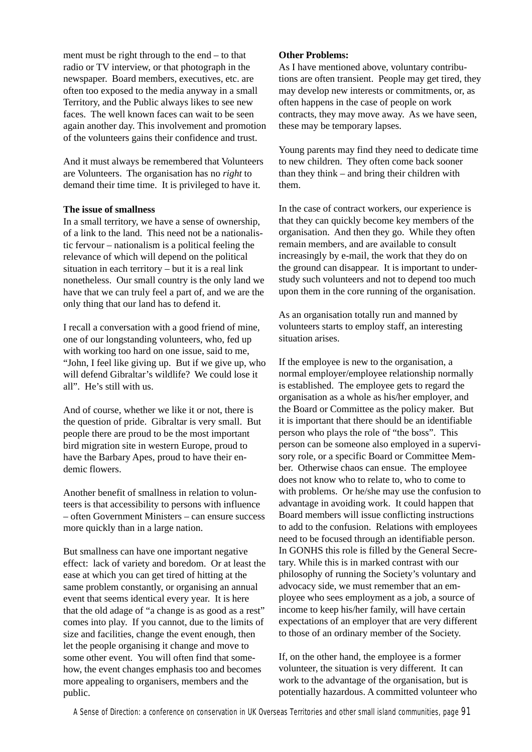ment must be right through to the end – to that radio or TV interview, or that photograph in the newspaper. Board members, executives, etc. are often too exposed to the media anyway in a small Territory, and the Public always likes to see new faces. The well known faces can wait to be seen again another day. This involvement and promotion of the volunteers gains their confidence and trust.

And it must always be remembered that Volunteers are Volunteers. The organisation has no *right* to demand their time time. It is privileged to have it.

#### **The issue of smallness**

In a small territory, we have a sense of ownership, of a link to the land. This need not be a nationalistic fervour – nationalism is a political feeling the relevance of which will depend on the political situation in each territory – but it is a real link nonetheless. Our small country is the only land we have that we can truly feel a part of, and we are the only thing that our land has to defend it.

I recall a conversation with a good friend of mine, one of our longstanding volunteers, who, fed up with working too hard on one issue, said to me, "John, I feel like giving up. But if we give up, who will defend Gibraltar's wildlife? We could lose it all". He's still with us.

And of course, whether we like it or not, there is the question of pride. Gibraltar is very small. But people there are proud to be the most important bird migration site in western Europe, proud to have the Barbary Apes, proud to have their endemic flowers.

Another benefit of smallness in relation to volunteers is that accessibility to persons with influence – often Government Ministers – can ensure success more quickly than in a large nation.

But smallness can have one important negative effect: lack of variety and boredom. Or at least the ease at which you can get tired of hitting at the same problem constantly, or organising an annual event that seems identical every year. It is here that the old adage of "a change is as good as a rest" comes into play. If you cannot, due to the limits of size and facilities, change the event enough, then let the people organising it change and move to some other event. You will often find that somehow, the event changes emphasis too and becomes more appealing to organisers, members and the public.

#### **Other Problems:**

As I have mentioned above, voluntary contributions are often transient. People may get tired, they may develop new interests or commitments, or, as often happens in the case of people on work contracts, they may move away. As we have seen, these may be temporary lapses.

Young parents may find they need to dedicate time to new children. They often come back sooner than they think – and bring their children with them.

In the case of contract workers, our experience is that they can quickly become key members of the organisation. And then they go. While they often remain members, and are available to consult increasingly by e-mail, the work that they do on the ground can disappear. It is important to understudy such volunteers and not to depend too much upon them in the core running of the organisation.

As an organisation totally run and manned by volunteers starts to employ staff, an interesting situation arises.

If the employee is new to the organisation, a normal employer/employee relationship normally is established. The employee gets to regard the organisation as a whole as his/her employer, and the Board or Committee as the policy maker. But it is important that there should be an identifiable person who plays the role of "the boss". This person can be someone also employed in a supervisory role, or a specific Board or Committee Member. Otherwise chaos can ensue. The employee does not know who to relate to, who to come to with problems. Or he/she may use the confusion to advantage in avoiding work. It could happen that Board members will issue conflicting instructions to add to the confusion. Relations with employees need to be focused through an identifiable person. In GONHS this role is filled by the General Secretary. While this is in marked contrast with our philosophy of running the Society's voluntary and advocacy side, we must remember that an employee who sees employment as a job, a source of income to keep his/her family, will have certain expectations of an employer that are very different to those of an ordinary member of the Society.

If, on the other hand, the employee is a former volunteer, the situation is very different. It can work to the advantage of the organisation, but is potentially hazardous. A committed volunteer who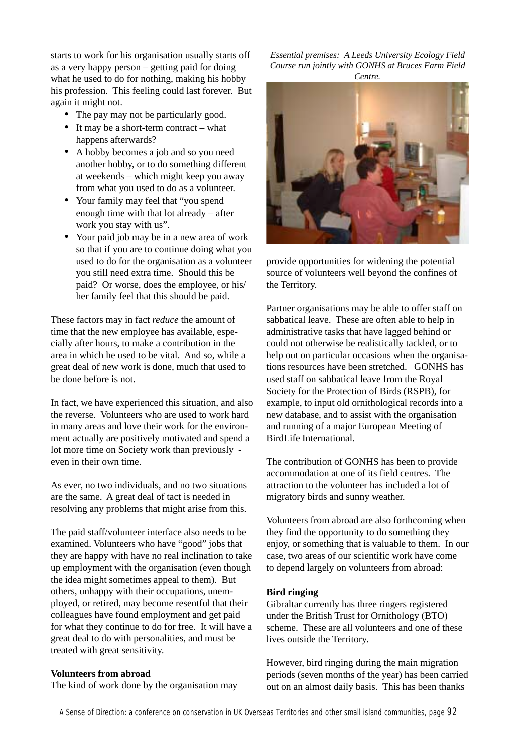starts to work for his organisation usually starts off as a very happy person – getting paid for doing what he used to do for nothing, making his hobby his profession. This feeling could last forever. But again it might not.

- The pay may not be particularly good.
- It may be a short-term contract what happens afterwards?
- A hobby becomes a job and so you need another hobby, or to do something different at weekends – which might keep you away from what you used to do as a volunteer.
- Your family may feel that "you spend" enough time with that lot already – after work you stay with us".
- Your paid job may be in a new area of work so that if you are to continue doing what you used to do for the organisation as a volunteer you still need extra time. Should this be paid? Or worse, does the employee, or his/ her family feel that this should be paid.

These factors may in fact *reduce* the amount of time that the new employee has available, especially after hours, to make a contribution in the area in which he used to be vital. And so, while a great deal of new work is done, much that used to be done before is not.

In fact, we have experienced this situation, and also the reverse. Volunteers who are used to work hard in many areas and love their work for the environment actually are positively motivated and spend a lot more time on Society work than previously even in their own time.

As ever, no two individuals, and no two situations are the same. A great deal of tact is needed in resolving any problems that might arise from this.

The paid staff/volunteer interface also needs to be examined. Volunteers who have "good" jobs that they are happy with have no real inclination to take up employment with the organisation (even though the idea might sometimes appeal to them). But others, unhappy with their occupations, unemployed, or retired, may become resentful that their colleagues have found employment and get paid for what they continue to do for free. It will have a great deal to do with personalities, and must be treated with great sensitivity.

#### **Volunteers from abroad**

The kind of work done by the organisation may

*Essential premises: A Leeds University Ecology Field Course run jointly with GONHS at Bruces Farm Field Centre.*



provide opportunities for widening the potential source of volunteers well beyond the confines of the Territory.

Partner organisations may be able to offer staff on sabbatical leave. These are often able to help in administrative tasks that have lagged behind or could not otherwise be realistically tackled, or to help out on particular occasions when the organisations resources have been stretched. GONHS has used staff on sabbatical leave from the Royal Society for the Protection of Birds (RSPB), for example, to input old ornithological records into a new database, and to assist with the organisation and running of a major European Meeting of BirdLife International.

The contribution of GONHS has been to provide accommodation at one of its field centres. The attraction to the volunteer has included a lot of migratory birds and sunny weather.

Volunteers from abroad are also forthcoming when they find the opportunity to do something they enjoy, or something that is valuable to them. In our case, two areas of our scientific work have come to depend largely on volunteers from abroad:

#### **Bird ringing**

Gibraltar currently has three ringers registered under the British Trust for Ornithology (BTO) scheme. These are all volunteers and one of these lives outside the Territory.

However, bird ringing during the main migration periods (seven months of the year) has been carried out on an almost daily basis. This has been thanks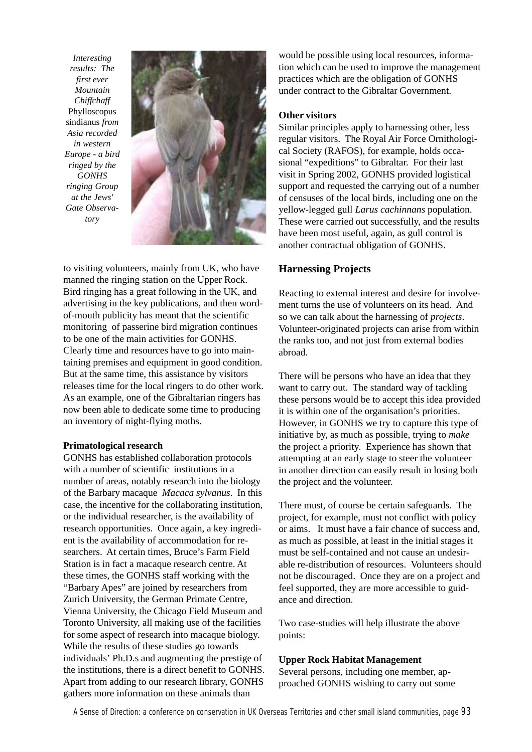*Interesting results: The first ever Mountain Chiffchaff* Phylloscopus sindianus *from Asia recorded in western Europe - a bird ringed by the GONHS ringing Group at the Jews' Gate Observatory*



to visiting volunteers, mainly from UK, who have manned the ringing station on the Upper Rock. Bird ringing has a great following in the UK, and advertising in the key publications, and then wordof-mouth publicity has meant that the scientific monitoring of passerine bird migration continues to be one of the main activities for GONHS. Clearly time and resources have to go into maintaining premises and equipment in good condition. But at the same time, this assistance by visitors releases time for the local ringers to do other work. As an example, one of the Gibraltarian ringers has now been able to dedicate some time to producing an inventory of night-flying moths.

#### **Primatological research**

GONHS has established collaboration protocols with a number of scientific institutions in a number of areas, notably research into the biology of the Barbary macaque *Macaca sylvanus*. In this case, the incentive for the collaborating institution, or the individual researcher, is the availability of research opportunities. Once again, a key ingredient is the availability of accommodation for researchers. At certain times, Bruce's Farm Field Station is in fact a macaque research centre. At these times, the GONHS staff working with the "Barbary Apes" are joined by researchers from Zurich University, the German Primate Centre, Vienna University, the Chicago Field Museum and Toronto University, all making use of the facilities for some aspect of research into macaque biology. While the results of these studies go towards individuals' Ph.D.s and augmenting the prestige of the institutions, there is a direct benefit to GONHS. Apart from adding to our research library, GONHS gathers more information on these animals than

would be possible using local resources, information which can be used to improve the management practices which are the obligation of GONHS under contract to the Gibraltar Government.

#### **Other visitors**

Similar principles apply to harnessing other, less regular visitors. The Royal Air Force Ornithological Society (RAFOS), for example, holds occasional "expeditions" to Gibraltar. For their last visit in Spring 2002, GONHS provided logistical support and requested the carrying out of a number of censuses of the local birds, including one on the yellow-legged gull *Larus cachinnans* population. These were carried out successfully, and the results have been most useful, again, as gull control is another contractual obligation of GONHS.

#### **Harnessing Projects**

Reacting to external interest and desire for involvement turns the use of volunteers on its head. And so we can talk about the harnessing of *projects*. Volunteer-originated projects can arise from within the ranks too, and not just from external bodies abroad.

There will be persons who have an idea that they want to carry out. The standard way of tackling these persons would be to accept this idea provided it is within one of the organisation's priorities. However, in GONHS we try to capture this type of initiative by, as much as possible, trying to *make* the project a priority. Experience has shown that attempting at an early stage to steer the volunteer in another direction can easily result in losing both the project and the volunteer.

There must, of course be certain safeguards. The project, for example, must not conflict with policy or aims. It must have a fair chance of success and, as much as possible, at least in the initial stages it must be self-contained and not cause an undesirable re-distribution of resources. Volunteers should not be discouraged. Once they are on a project and feel supported, they are more accessible to guidance and direction.

Two case-studies will help illustrate the above points:

#### **Upper Rock Habitat Management**

Several persons, including one member, approached GONHS wishing to carry out some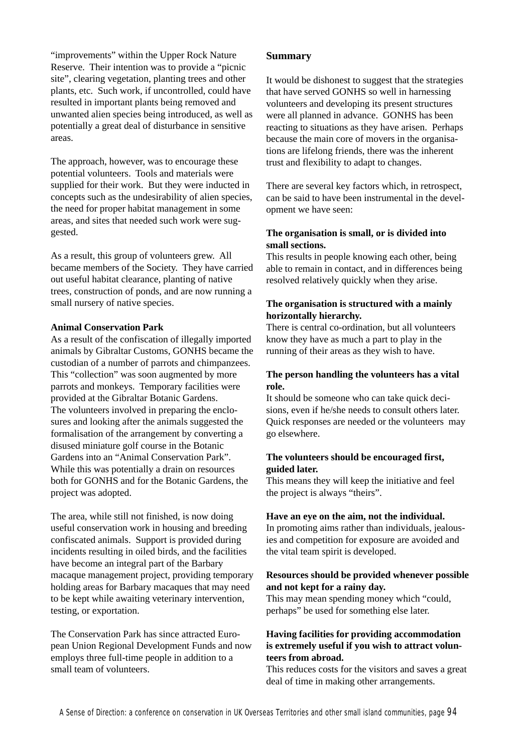"improvements" within the Upper Rock Nature Reserve. Their intention was to provide a "picnic site", clearing vegetation, planting trees and other plants, etc. Such work, if uncontrolled, could have resulted in important plants being removed and unwanted alien species being introduced, as well as potentially a great deal of disturbance in sensitive areas.

The approach, however, was to encourage these potential volunteers. Tools and materials were supplied for their work. But they were inducted in concepts such as the undesirability of alien species, the need for proper habitat management in some areas, and sites that needed such work were suggested.

As a result, this group of volunteers grew. All became members of the Society. They have carried out useful habitat clearance, planting of native trees, construction of ponds, and are now running a small nursery of native species.

#### **Animal Conservation Park**

As a result of the confiscation of illegally imported animals by Gibraltar Customs, GONHS became the custodian of a number of parrots and chimpanzees. This "collection" was soon augmented by more parrots and monkeys. Temporary facilities were provided at the Gibraltar Botanic Gardens. The volunteers involved in preparing the enclosures and looking after the animals suggested the formalisation of the arrangement by converting a disused miniature golf course in the Botanic Gardens into an "Animal Conservation Park". While this was potentially a drain on resources both for GONHS and for the Botanic Gardens, the project was adopted.

The area, while still not finished, is now doing useful conservation work in housing and breeding confiscated animals. Support is provided during incidents resulting in oiled birds, and the facilities have become an integral part of the Barbary macaque management project, providing temporary holding areas for Barbary macaques that may need to be kept while awaiting veterinary intervention, testing, or exportation.

The Conservation Park has since attracted European Union Regional Development Funds and now employs three full-time people in addition to a small team of volunteers.

#### **Summary**

It would be dishonest to suggest that the strategies that have served GONHS so well in harnessing volunteers and developing its present structures were all planned in advance. GONHS has been reacting to situations as they have arisen. Perhaps because the main core of movers in the organisations are lifelong friends, there was the inherent trust and flexibility to adapt to changes.

There are several key factors which, in retrospect, can be said to have been instrumental in the development we have seen:

#### **The organisation is small, or is divided into small sections.**

This results in people knowing each other, being able to remain in contact, and in differences being resolved relatively quickly when they arise.

#### **The organisation is structured with a mainly horizontally hierarchy.**

There is central co-ordination, but all volunteers know they have as much a part to play in the running of their areas as they wish to have.

#### **The person handling the volunteers has a vital role.**

It should be someone who can take quick decisions, even if he/she needs to consult others later. Quick responses are needed or the volunteers may go elsewhere.

#### **The volunteers should be encouraged first, guided later.**

This means they will keep the initiative and feel the project is always "theirs".

#### **Have an eye on the aim, not the individual.**

In promoting aims rather than individuals, jealousies and competition for exposure are avoided and the vital team spirit is developed.

#### **Resources should be provided whenever possible and not kept for a rainy day.**

This may mean spending money which "could, perhaps" be used for something else later.

#### **Having facilities for providing accommodation is extremely useful if you wish to attract volunteers from abroad.**

This reduces costs for the visitors and saves a great deal of time in making other arrangements.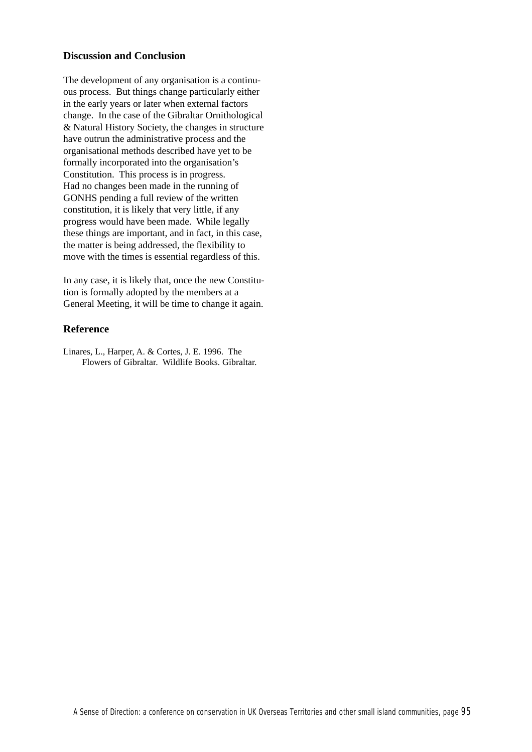#### **Discussion and Conclusion**

The development of any organisation is a continuous process. But things change particularly either in the early years or later when external factors change. In the case of the Gibraltar Ornithological & Natural History Society, the changes in structure have outrun the administrative process and the organisational methods described have yet to be formally incorporated into the organisation's Constitution. This process is in progress. Had no changes been made in the running of GONHS pending a full review of the written constitution, it is likely that very little, if any progress would have been made. While legally these things are important, and in fact, in this case, the matter is being addressed, the flexibility to move with the times is essential regardless of this.

In any case, it is likely that, once the new Constitution is formally adopted by the members at a General Meeting, it will be time to change it again.

#### **Reference**

Linares, L., Harper, A. & Cortes, J. E. 1996. The Flowers of Gibraltar. Wildlife Books. Gibraltar.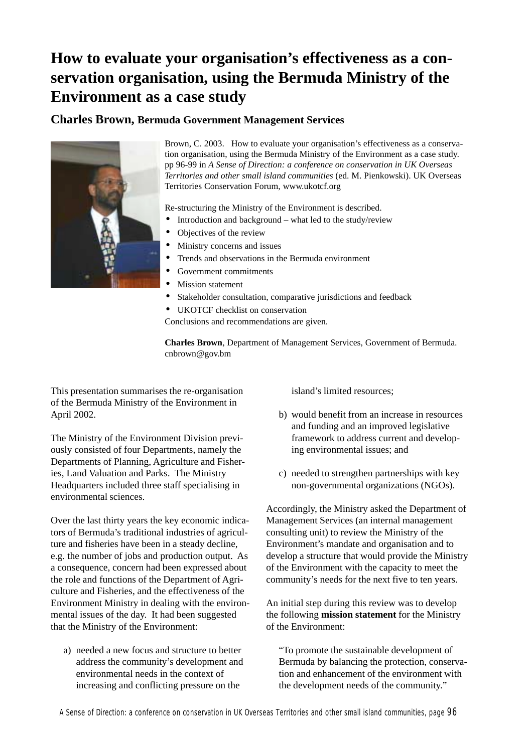# **How to evaluate your organisation's effectiveness as a conservation organisation, using the Bermuda Ministry of the Environment as a case study**

# **Charles Brown, Bermuda Government Management Services**



Brown, C. 2003. How to evaluate your organisation's effectiveness as a conservation organisation, using the Bermuda Ministry of the Environment as a case study. pp 96-99 in *A Sense of Direction: a conference on conservation in UK Overseas Territories and other small island communities* (ed. M. Pienkowski). UK Overseas Territories Conservation Forum, www.ukotcf.org

Re-structuring the Ministry of the Environment is described.

- Introduction and background what led to the study/review
- Objectives of the review
- Ministry concerns and issues
- Trends and observations in the Bermuda environment
- Government commitments
- Mission statement
- Stakeholder consultation, comparative jurisdictions and feedback
- UKOTCF checklist on conservation

Conclusions and recommendations are given.

**Charles Brown**, Department of Management Services, Government of Bermuda. cnbrown@gov.bm

This presentation summarises the re-organisation of the Bermuda Ministry of the Environment in April 2002.

The Ministry of the Environment Division previously consisted of four Departments, namely the Departments of Planning, Agriculture and Fisheries, Land Valuation and Parks. The Ministry Headquarters included three staff specialising in environmental sciences.

Over the last thirty years the key economic indicators of Bermuda's traditional industries of agriculture and fisheries have been in a steady decline, e.g. the number of jobs and production output. As a consequence, concern had been expressed about the role and functions of the Department of Agriculture and Fisheries, and the effectiveness of the Environment Ministry in dealing with the environmental issues of the day. It had been suggested that the Ministry of the Environment:

a) needed a new focus and structure to better address the community's development and environmental needs in the context of increasing and conflicting pressure on the

island's limited resources;

- b) would benefit from an increase in resources and funding and an improved legislative framework to address current and developing environmental issues; and
- c) needed to strengthen partnerships with key non-governmental organizations (NGOs).

Accordingly, the Ministry asked the Department of Management Services (an internal management consulting unit) to review the Ministry of the Environment's mandate and organisation and to develop a structure that would provide the Ministry of the Environment with the capacity to meet the community's needs for the next five to ten years.

An initial step during this review was to develop the following **mission statement** for the Ministry of the Environment:

"To promote the sustainable development of Bermuda by balancing the protection, conservation and enhancement of the environment with the development needs of the community."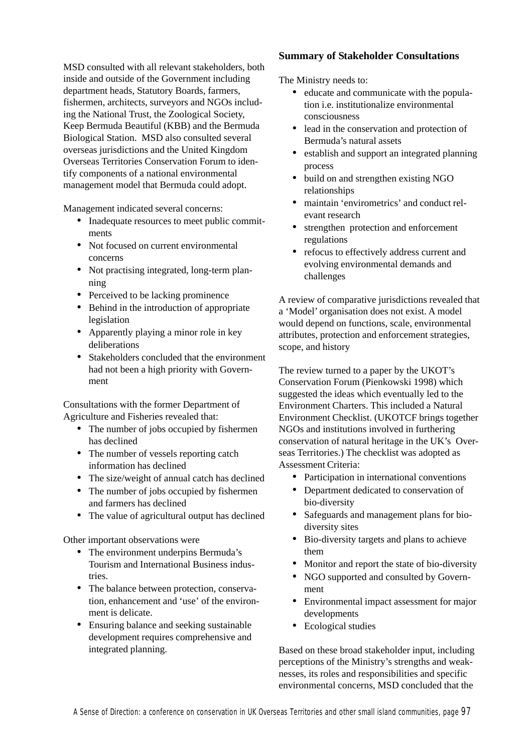MSD consulted with all relevant stakeholders, both inside and outside of the Government including department heads, Statutory Boards, farmers, fishermen, architects, surveyors and NGOs including the National Trust, the Zoological Society, Keep Bermuda Beautiful (KBB) and the Bermuda Biological Station. MSD also consulted several overseas jurisdictions and the United Kingdom Overseas Territories Conservation Forum to identify components of a national environmental management model that Bermuda could adopt.

Management indicated several concerns:

- Inadequate resources to meet public commitments
- Not focused on current environmental concerns
- Not practising integrated, long-term planning
- Perceived to be lacking prominence
- Behind in the introduction of appropriate legislation
- Apparently playing a minor role in key deliberations
- Stakeholders concluded that the environment had not been a high priority with Government

Consultations with the former Department of Agriculture and Fisheries revealed that:

- The number of jobs occupied by fishermen has declined
- The number of vessels reporting catch information has declined
- The size/weight of annual catch has declined
- The number of jobs occupied by fishermen and farmers has declined
- The value of agricultural output has declined

Other important observations were

- The environment underpins Bermuda's Tourism and International Business industries.
- The balance between protection, conservation, enhancement and 'use' of the environment is delicate.
- Ensuring balance and seeking sustainable development requires comprehensive and integrated planning.

## **Summary of Stakeholder Consultations**

The Ministry needs to:

- educate and communicate with the population i.e. institutionalize environmental consciousness
- lead in the conservation and protection of Bermuda's natural assets
- establish and support an integrated planning process
- build on and strengthen existing NGO relationships
- maintain 'envirometrics' and conduct relevant research
- strengthen protection and enforcement regulations
- refocus to effectively address current and evolving environmental demands and challenges

A review of comparative jurisdictions revealed that a 'Model' organisation does not exist. A model would depend on functions, scale, environmental attributes, protection and enforcement strategies, scope, and history

The review turned to a paper by the UKOT's Conservation Forum (Pienkowski 1998) which suggested the ideas which eventually led to the Environment Charters. This included a Natural Environment Checklist. (UKOTCF brings together NGOs and institutions involved in furthering conservation of natural heritage in the UK's Overseas Territories.) The checklist was adopted as Assessment Criteria:

- Participation in international conventions
- Department dedicated to conservation of bio-diversity
- Safeguards and management plans for biodiversity sites
- Bio-diversity targets and plans to achieve them
- Monitor and report the state of bio-diversity
- NGO supported and consulted by Government
- Environmental impact assessment for major developments
- Ecological studies

Based on these broad stakeholder input, including perceptions of the Ministry's strengths and weaknesses, its roles and responsibilities and specific environmental concerns, MSD concluded that the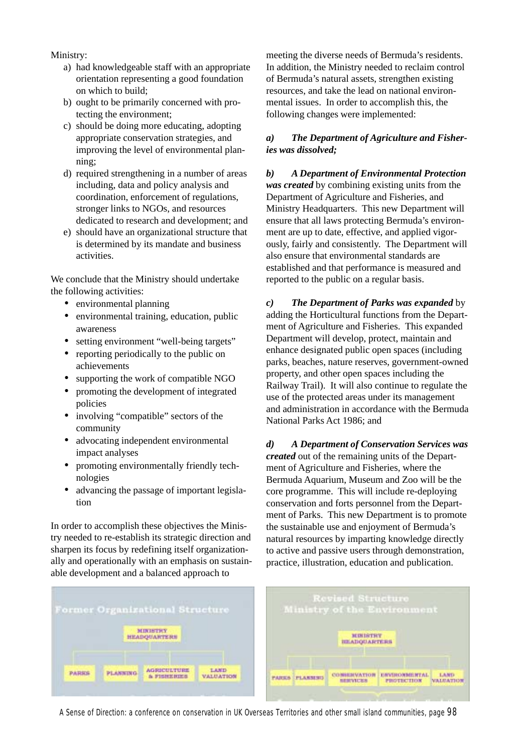Ministry:

- a) had knowledgeable staff with an appropriate orientation representing a good foundation on which to build;
- b) ought to be primarily concerned with protecting the environment;
- c) should be doing more educating, adopting appropriate conservation strategies, and improving the level of environmental planning;
- d) required strengthening in a number of areas including, data and policy analysis and coordination, enforcement of regulations, stronger links to NGOs, and resources dedicated to research and development; and
- e) should have an organizational structure that is determined by its mandate and business activities.

We conclude that the Ministry should undertake the following activities:

- environmental planning
- environmental training, education, public awareness
- setting environment "well-being targets"
- reporting periodically to the public on achievements
- supporting the work of compatible NGO
- promoting the development of integrated policies
- involving "compatible" sectors of the community
- advocating independent environmental impact analyses
- promoting environmentally friendly technologies
- advancing the passage of important legislation

In order to accomplish these objectives the Ministry needed to re-establish its strategic direction and sharpen its focus by redefining itself organizationally and operationally with an emphasis on sustainable development and a balanced approach to

meeting the diverse needs of Bermuda's residents. In addition, the Ministry needed to reclaim control of Bermuda's natural assets, strengthen existing resources, and take the lead on national environmental issues. In order to accomplish this, the following changes were implemented:

#### *a) The Department of Agriculture and Fisheries was dissolved;*

*b) A Department of Environmental Protection was created* by combining existing units from the Department of Agriculture and Fisheries, and Ministry Headquarters. This new Department will ensure that all laws protecting Bermuda's environment are up to date, effective, and applied vigorously, fairly and consistently. The Department will also ensure that environmental standards are established and that performance is measured and reported to the public on a regular basis.

*c) The Department of Parks was expanded* by adding the Horticultural functions from the Department of Agriculture and Fisheries. This expanded Department will develop, protect, maintain and enhance designated public open spaces (including parks, beaches, nature reserves, government-owned property, and other open spaces including the Railway Trail). It will also continue to regulate the use of the protected areas under its management and administration in accordance with the Bermuda National Parks Act 1986; and

*d) A Department of Conservation Services was created* out of the remaining units of the Department of Agriculture and Fisheries, where the Bermuda Aquarium, Museum and Zoo will be the core programme. This will include re-deploying conservation and forts personnel from the Department of Parks. This new Department is to promote the sustainable use and enjoyment of Bermuda's natural resources by imparting knowledge directly to active and passive users through demonstration, practice, illustration, education and publication.

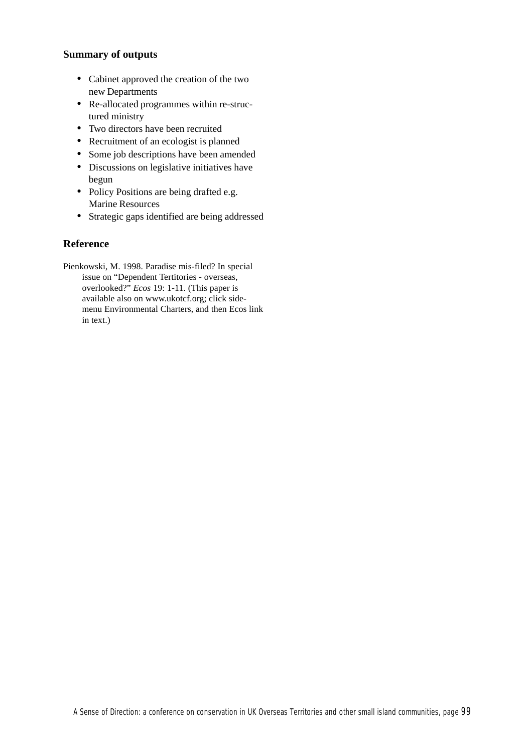## **Summary of outputs**

- Cabinet approved the creation of the two new Departments
- Re-allocated programmes within re-structured ministry
- Two directors have been recruited
- Recruitment of an ecologist is planned
- Some job descriptions have been amended
- Discussions on legislative initiatives have begun
- Policy Positions are being drafted e.g. Marine Resources
- Strategic gaps identified are being addressed

## **Reference**

Pienkowski, M. 1998. Paradise mis-filed? In special issue on "Dependent Tertitories - overseas, overlooked?" *Ecos* 19: 1-11. (This paper is available also on www.ukotcf.org; click sidemenu Environmental Charters, and then Ecos link in text.)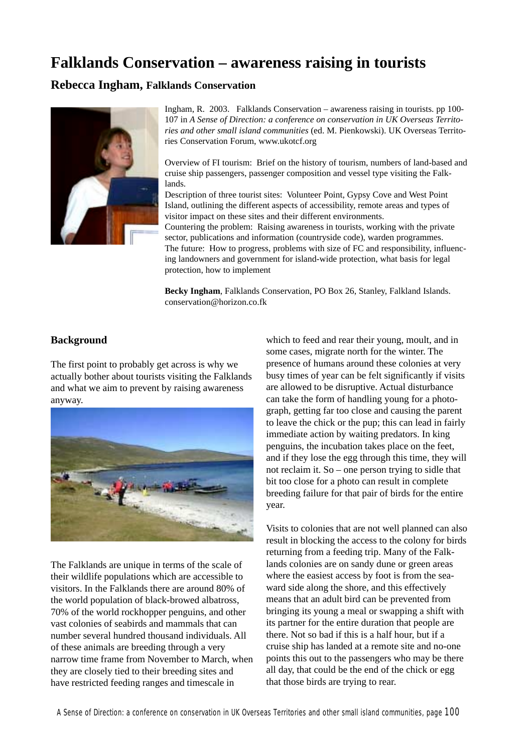# **Falklands Conservation – awareness raising in tourists**

# **Rebecca Ingham, Falklands Conservation**



Ingham, R. 2003. Falklands Conservation – awareness raising in tourists. pp 100- 107 in *A Sense of Direction: a conference on conservation in UK Overseas Territories and other small island communities* (ed. M. Pienkowski). UK Overseas Territories Conservation Forum, www.ukotcf.org

Overview of FI tourism: Brief on the history of tourism, numbers of land-based and cruise ship passengers, passenger composition and vessel type visiting the Falklands.

Description of three tourist sites: Volunteer Point, Gypsy Cove and West Point Island, outlining the different aspects of accessibility, remote areas and types of visitor impact on these sites and their different environments.

Countering the problem: Raising awareness in tourists, working with the private sector, publications and information (countryside code), warden programmes. The future: How to progress, problems with size of FC and responsibility, influencing landowners and government for island-wide protection, what basis for legal protection, how to implement

**Becky Ingham**, Falklands Conservation, PO Box 26, Stanley, Falkland Islands. conservation@horizon.co.fk

## **Background**

The first point to probably get across is why we actually bother about tourists visiting the Falklands and what we aim to prevent by raising awareness anyway.



The Falklands are unique in terms of the scale of their wildlife populations which are accessible to visitors. In the Falklands there are around 80% of the world population of black-browed albatross, 70% of the world rockhopper penguins, and other vast colonies of seabirds and mammals that can number several hundred thousand individuals. All of these animals are breeding through a very narrow time frame from November to March, when they are closely tied to their breeding sites and have restricted feeding ranges and timescale in

which to feed and rear their young, moult, and in some cases, migrate north for the winter. The presence of humans around these colonies at very busy times of year can be felt significantly if visits are allowed to be disruptive. Actual disturbance can take the form of handling young for a photograph, getting far too close and causing the parent to leave the chick or the pup; this can lead in fairly immediate action by waiting predators. In king penguins, the incubation takes place on the feet, and if they lose the egg through this time, they will not reclaim it. So – one person trying to sidle that bit too close for a photo can result in complete breeding failure for that pair of birds for the entire year.

Visits to colonies that are not well planned can also result in blocking the access to the colony for birds returning from a feeding trip. Many of the Falklands colonies are on sandy dune or green areas where the easiest access by foot is from the seaward side along the shore, and this effectively means that an adult bird can be prevented from bringing its young a meal or swapping a shift with its partner for the entire duration that people are there. Not so bad if this is a half hour, but if a cruise ship has landed at a remote site and no-one points this out to the passengers who may be there all day, that could be the end of the chick or egg that those birds are trying to rear.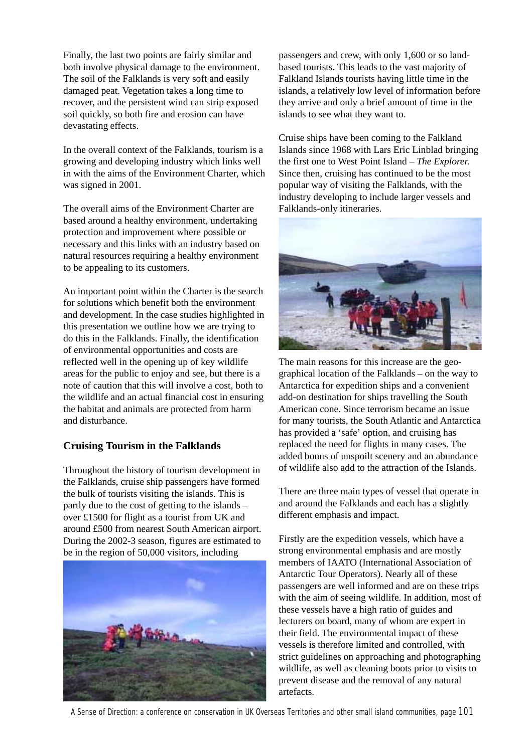Finally, the last two points are fairly similar and both involve physical damage to the environment. The soil of the Falklands is very soft and easily damaged peat. Vegetation takes a long time to recover, and the persistent wind can strip exposed soil quickly, so both fire and erosion can have devastating effects.

In the overall context of the Falklands, tourism is a growing and developing industry which links well in with the aims of the Environment Charter, which was signed in 2001.

The overall aims of the Environment Charter are based around a healthy environment, undertaking protection and improvement where possible or necessary and this links with an industry based on natural resources requiring a healthy environment to be appealing to its customers.

An important point within the Charter is the search for solutions which benefit both the environment and development. In the case studies highlighted in this presentation we outline how we are trying to do this in the Falklands. Finally, the identification of environmental opportunities and costs are reflected well in the opening up of key wildlife areas for the public to enjoy and see, but there is a note of caution that this will involve a cost, both to the wildlife and an actual financial cost in ensuring the habitat and animals are protected from harm and disturbance.

## **Cruising Tourism in the Falklands**

Throughout the history of tourism development in the Falklands, cruise ship passengers have formed the bulk of tourists visiting the islands. This is partly due to the cost of getting to the islands – over £1500 for flight as a tourist from UK and around £500 from nearest South American airport. During the 2002-3 season, figures are estimated to be in the region of 50,000 visitors, including



passengers and crew, with only 1,600 or so landbased tourists. This leads to the vast majority of Falkland Islands tourists having little time in the islands, a relatively low level of information before they arrive and only a brief amount of time in the islands to see what they want to.

Cruise ships have been coming to the Falkland Islands since 1968 with Lars Eric Linblad bringing the first one to West Point Island – *The Explorer.* Since then, cruising has continued to be the most popular way of visiting the Falklands, with the industry developing to include larger vessels and Falklands-only itineraries.



The main reasons for this increase are the geographical location of the Falklands – on the way to Antarctica for expedition ships and a convenient add-on destination for ships travelling the South American cone. Since terrorism became an issue for many tourists, the South Atlantic and Antarctica has provided a 'safe' option, and cruising has replaced the need for flights in many cases. The added bonus of unspoilt scenery and an abundance of wildlife also add to the attraction of the Islands.

There are three main types of vessel that operate in and around the Falklands and each has a slightly different emphasis and impact.

Firstly are the expedition vessels, which have a strong environmental emphasis and are mostly members of IAATO (International Association of Antarctic Tour Operators). Nearly all of these passengers are well informed and are on these trips with the aim of seeing wildlife. In addition, most of these vessels have a high ratio of guides and lecturers on board, many of whom are expert in their field. The environmental impact of these vessels is therefore limited and controlled, with strict guidelines on approaching and photographing wildlife, as well as cleaning boots prior to visits to prevent disease and the removal of any natural artefacts.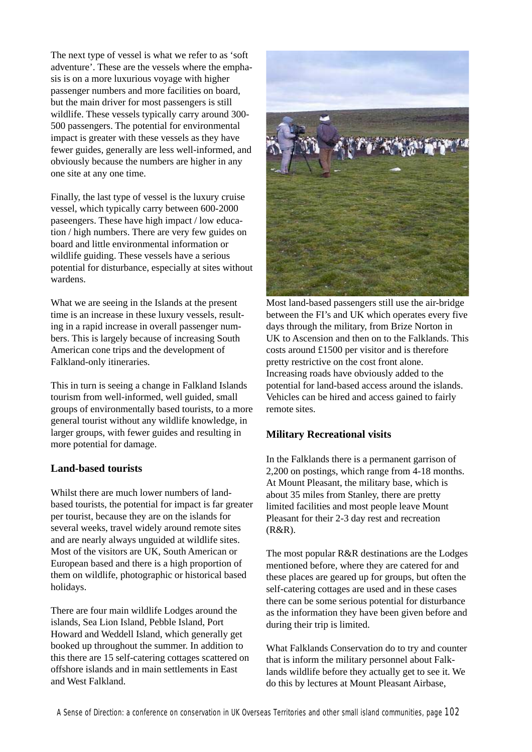The next type of vessel is what we refer to as 'soft adventure'. These are the vessels where the emphasis is on a more luxurious voyage with higher passenger numbers and more facilities on board, but the main driver for most passengers is still wildlife. These vessels typically carry around 300- 500 passengers. The potential for environmental impact is greater with these vessels as they have fewer guides, generally are less well-informed, and obviously because the numbers are higher in any one site at any one time.

Finally, the last type of vessel is the luxury cruise vessel, which typically carry between 600-2000 paseengers. These have high impact / low education / high numbers. There are very few guides on board and little environmental information or wildlife guiding. These vessels have a serious potential for disturbance, especially at sites without wardens.

What we are seeing in the Islands at the present time is an increase in these luxury vessels, resulting in a rapid increase in overall passenger numbers. This is largely because of increasing South American cone trips and the development of Falkland-only itineraries.

This in turn is seeing a change in Falkland Islands tourism from well-informed, well guided, small groups of environmentally based tourists, to a more general tourist without any wildlife knowledge, in larger groups, with fewer guides and resulting in more potential for damage.

#### **Land-based tourists**

Whilst there are much lower numbers of landbased tourists, the potential for impact is far greater per tourist, because they are on the islands for several weeks, travel widely around remote sites and are nearly always unguided at wildlife sites. Most of the visitors are UK, South American or European based and there is a high proportion of them on wildlife, photographic or historical based holidays.

There are four main wildlife Lodges around the islands, Sea Lion Island, Pebble Island, Port Howard and Weddell Island, which generally get booked up throughout the summer. In addition to this there are 15 self-catering cottages scattered on offshore islands and in main settlements in East and West Falkland.



Most land-based passengers still use the air-bridge between the FI's and UK which operates every five days through the military, from Brize Norton in UK to Ascension and then on to the Falklands. This costs around £1500 per visitor and is therefore pretty restrictive on the cost front alone. Increasing roads have obviously added to the potential for land-based access around the islands. Vehicles can be hired and access gained to fairly remote sites.

#### **Military Recreational visits**

In the Falklands there is a permanent garrison of 2,200 on postings, which range from 4-18 months. At Mount Pleasant, the military base, which is about 35 miles from Stanley, there are pretty limited facilities and most people leave Mount Pleasant for their 2-3 day rest and recreation (R&R).

The most popular R&R destinations are the Lodges mentioned before, where they are catered for and these places are geared up for groups, but often the self-catering cottages are used and in these cases there can be some serious potential for disturbance as the information they have been given before and during their trip is limited.

What Falklands Conservation do to try and counter that is inform the military personnel about Falklands wildlife before they actually get to see it. We do this by lectures at Mount Pleasant Airbase,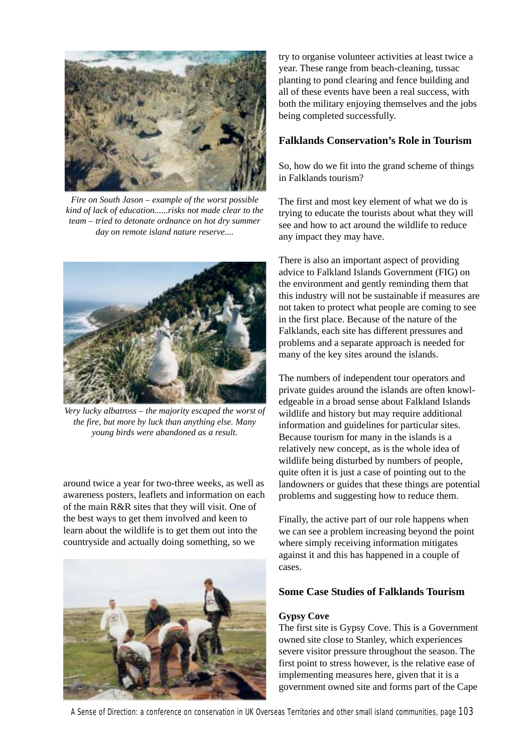

*Fire on South Jason – example of the worst possible kind of lack of education......risks not made clear to the team – tried to detonate ordnance on hot dry summer day on remote island nature reserve....*



*Very lucky albatross – the majority escaped the worst of the fire, but more by luck than anything else. Many young birds were abandoned as a result.*

around twice a year for two-three weeks, as well as awareness posters, leaflets and information on each of the main R&R sites that they will visit. One of the best ways to get them involved and keen to learn about the wildlife is to get them out into the countryside and actually doing something, so we



try to organise volunteer activities at least twice a year. These range from beach-cleaning, tussac planting to pond clearing and fence building and all of these events have been a real success, with both the military enjoying themselves and the jobs being completed successfully.

## **Falklands Conservation's Role in Tourism**

So, how do we fit into the grand scheme of things in Falklands tourism?

The first and most key element of what we do is trying to educate the tourists about what they will see and how to act around the wildlife to reduce any impact they may have.

There is also an important aspect of providing advice to Falkland Islands Government (FIG) on the environment and gently reminding them that this industry will not be sustainable if measures are not taken to protect what people are coming to see in the first place. Because of the nature of the Falklands, each site has different pressures and problems and a separate approach is needed for many of the key sites around the islands.

The numbers of independent tour operators and private guides around the islands are often knowledgeable in a broad sense about Falkland Islands wildlife and history but may require additional information and guidelines for particular sites. Because tourism for many in the islands is a relatively new concept, as is the whole idea of wildlife being disturbed by numbers of people, quite often it is just a case of pointing out to the landowners or guides that these things are potential problems and suggesting how to reduce them.

Finally, the active part of our role happens when we can see a problem increasing beyond the point where simply receiving information mitigates against it and this has happened in a couple of cases.

## **Some Case Studies of Falklands Tourism**

#### **Gypsy Cove**

The first site is Gypsy Cove. This is a Government owned site close to Stanley, which experiences severe visitor pressure throughout the season. The first point to stress however, is the relative ease of implementing measures here, given that it is a government owned site and forms part of the Cape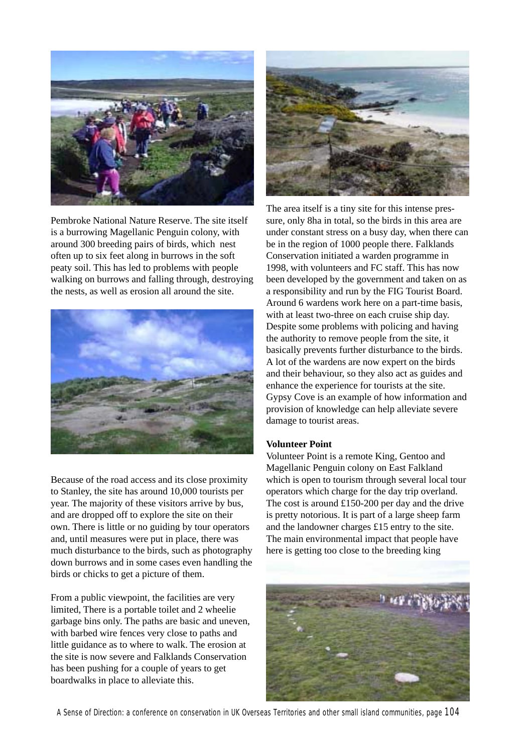

Pembroke National Nature Reserve. The site itself is a burrowing Magellanic Penguin colony, with around 300 breeding pairs of birds, which nest often up to six feet along in burrows in the soft peaty soil. This has led to problems with people walking on burrows and falling through, destroying the nests, as well as erosion all around the site.



Because of the road access and its close proximity to Stanley, the site has around 10,000 tourists per year. The majority of these visitors arrive by bus, and are dropped off to explore the site on their own. There is little or no guiding by tour operators and, until measures were put in place, there was much disturbance to the birds, such as photography down burrows and in some cases even handling the birds or chicks to get a picture of them.

From a public viewpoint, the facilities are very limited, There is a portable toilet and 2 wheelie garbage bins only. The paths are basic and uneven, with barbed wire fences very close to paths and little guidance as to where to walk. The erosion at the site is now severe and Falklands Conservation has been pushing for a couple of years to get boardwalks in place to alleviate this.



The area itself is a tiny site for this intense pressure, only 8ha in total, so the birds in this area are under constant stress on a busy day, when there can be in the region of 1000 people there. Falklands Conservation initiated a warden programme in 1998, with volunteers and FC staff. This has now been developed by the government and taken on as a responsibility and run by the FIG Tourist Board. Around 6 wardens work here on a part-time basis, with at least two-three on each cruise ship day. Despite some problems with policing and having the authority to remove people from the site, it basically prevents further disturbance to the birds. A lot of the wardens are now expert on the birds and their behaviour, so they also act as guides and enhance the experience for tourists at the site. Gypsy Cove is an example of how information and provision of knowledge can help alleviate severe damage to tourist areas.

#### **Volunteer Point**

Volunteer Point is a remote King, Gentoo and Magellanic Penguin colony on East Falkland which is open to tourism through several local tour operators which charge for the day trip overland. The cost is around £150-200 per day and the drive is pretty notorious. It is part of a large sheep farm and the landowner charges £15 entry to the site. The main environmental impact that people have here is getting too close to the breeding king

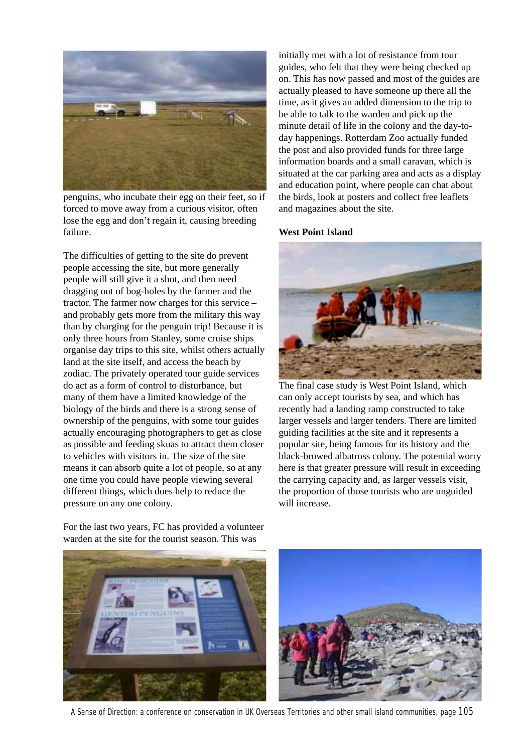

penguins, who incubate their egg on their feet, so if forced to move away from a curious visitor, often lose the egg and don't regain it, causing breeding failure.

The difficulties of getting to the site do prevent people accessing the site, but more generally people will still give it a shot, and then need dragging out of bog-holes by the farmer and the tractor. The farmer now charges for this service – and probably gets more from the military this way than by charging for the penguin trip! Because it is only three hours from Stanley, some cruise ships organise day trips to this site, whilst others actually land at the site itself, and access the beach by zodiac. The privately operated tour guide services do act as a form of control to disturbance, but many of them have a limited knowledge of the biology of the birds and there is a strong sense of ownership of the penguins, with some tour guides actually encouraging photographers to get as close as possible and feeding skuas to attract them closer to vehicles with visitors in. The size of the site means it can absorb quite a lot of people, so at any one time you could have people viewing several different things, which does help to reduce the pressure on any one colony.

initially met with a lot of resistance from tour guides, who felt that they were being checked up on. This has now passed and most of the guides are actually pleased to have someone up there all the time, as it gives an added dimension to the trip to be able to talk to the warden and pick up the minute detail of life in the colony and the day-today happenings. Rotterdam Zoo actually funded the post and also provided funds for three large information boards and a small caravan, which is situated at the car parking area and acts as a display and education point, where people can chat about the birds, look at posters and collect free leaflets and magazines about the site.

#### **West Point Island**



The final case study is West Point Island, which can only accept tourists by sea, and which has recently had a landing ramp constructed to take larger vessels and larger tenders. There are limited guiding facilities at the site and it represents a popular site, being famous for its history and the black-browed albatross colony. The potential worry here is that greater pressure will result in exceeding the carrying capacity and, as larger vessels visit, the proportion of those tourists who are unguided will increase.



A Sense of Direction: a conference on conservation in UK Overseas Territories and other small island communities, page 105

For the last two years, FC has provided a volunteer warden at the site for the tourist season. This was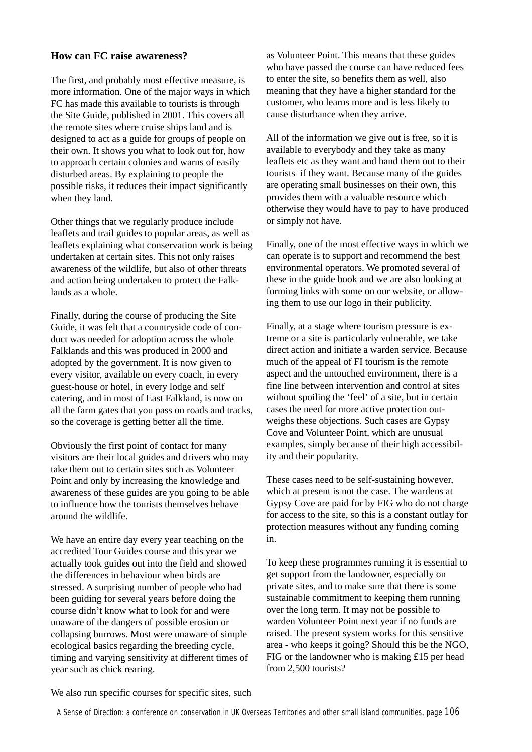## **How can FC raise awareness?**

The first, and probably most effective measure, is more information. One of the major ways in which FC has made this available to tourists is through the Site Guide, published in 2001. This covers all the remote sites where cruise ships land and is designed to act as a guide for groups of people on their own. It shows you what to look out for, how to approach certain colonies and warns of easily disturbed areas. By explaining to people the possible risks, it reduces their impact significantly when they land.

Other things that we regularly produce include leaflets and trail guides to popular areas, as well as leaflets explaining what conservation work is being undertaken at certain sites. This not only raises awareness of the wildlife, but also of other threats and action being undertaken to protect the Falklands as a whole.

Finally, during the course of producing the Site Guide, it was felt that a countryside code of conduct was needed for adoption across the whole Falklands and this was produced in 2000 and adopted by the government. It is now given to every visitor, available on every coach, in every guest-house or hotel, in every lodge and self catering, and in most of East Falkland, is now on all the farm gates that you pass on roads and tracks, so the coverage is getting better all the time.

Obviously the first point of contact for many visitors are their local guides and drivers who may take them out to certain sites such as Volunteer Point and only by increasing the knowledge and awareness of these guides are you going to be able to influence how the tourists themselves behave around the wildlife.

We have an entire day every year teaching on the accredited Tour Guides course and this year we actually took guides out into the field and showed the differences in behaviour when birds are stressed. A surprising number of people who had been guiding for several years before doing the course didn't know what to look for and were unaware of the dangers of possible erosion or collapsing burrows. Most were unaware of simple ecological basics regarding the breeding cycle, timing and varying sensitivity at different times of year such as chick rearing.

as Volunteer Point. This means that these guides who have passed the course can have reduced fees to enter the site, so benefits them as well, also meaning that they have a higher standard for the customer, who learns more and is less likely to cause disturbance when they arrive.

All of the information we give out is free, so it is available to everybody and they take as many leaflets etc as they want and hand them out to their tourists if they want. Because many of the guides are operating small businesses on their own, this provides them with a valuable resource which otherwise they would have to pay to have produced or simply not have.

Finally, one of the most effective ways in which we can operate is to support and recommend the best environmental operators. We promoted several of these in the guide book and we are also looking at forming links with some on our website, or allowing them to use our logo in their publicity.

Finally, at a stage where tourism pressure is extreme or a site is particularly vulnerable, we take direct action and initiate a warden service. Because much of the appeal of FI tourism is the remote aspect and the untouched environment, there is a fine line between intervention and control at sites without spoiling the 'feel' of a site, but in certain cases the need for more active protection outweighs these objections. Such cases are Gypsy Cove and Volunteer Point, which are unusual examples, simply because of their high accessibility and their popularity.

These cases need to be self-sustaining however, which at present is not the case. The wardens at Gypsy Cove are paid for by FIG who do not charge for access to the site, so this is a constant outlay for protection measures without any funding coming in.

To keep these programmes running it is essential to get support from the landowner, especially on private sites, and to make sure that there is some sustainable commitment to keeping them running over the long term. It may not be possible to warden Volunteer Point next year if no funds are raised. The present system works for this sensitive area - who keeps it going? Should this be the NGO, FIG or the landowner who is making £15 per head from 2,500 tourists?

We also run specific courses for specific sites, such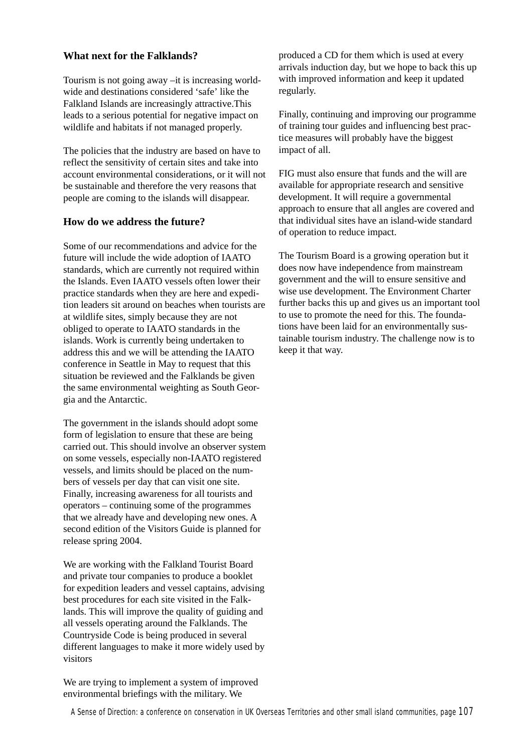## **What next for the Falklands?**

Tourism is not going away –it is increasing worldwide and destinations considered 'safe' like the Falkland Islands are increasingly attractive.This leads to a serious potential for negative impact on wildlife and habitats if not managed properly.

The policies that the industry are based on have to reflect the sensitivity of certain sites and take into account environmental considerations, or it will not be sustainable and therefore the very reasons that people are coming to the islands will disappear.

## **How do we address the future?**

Some of our recommendations and advice for the future will include the wide adoption of IAATO standards, which are currently not required within the Islands. Even IAATO vessels often lower their practice standards when they are here and expedition leaders sit around on beaches when tourists are at wildlife sites, simply because they are not obliged to operate to IAATO standards in the islands. Work is currently being undertaken to address this and we will be attending the IAATO conference in Seattle in May to request that this situation be reviewed and the Falklands be given the same environmental weighting as South Georgia and the Antarctic.

The government in the islands should adopt some form of legislation to ensure that these are being carried out. This should involve an observer system on some vessels, especially non-IAATO registered vessels, and limits should be placed on the numbers of vessels per day that can visit one site. Finally, increasing awareness for all tourists and operators – continuing some of the programmes that we already have and developing new ones. A second edition of the Visitors Guide is planned for release spring 2004.

We are working with the Falkland Tourist Board and private tour companies to produce a booklet for expedition leaders and vessel captains, advising best procedures for each site visited in the Falklands. This will improve the quality of guiding and all vessels operating around the Falklands. The Countryside Code is being produced in several different languages to make it more widely used by visitors

We are trying to implement a system of improved environmental briefings with the military. We

produced a CD for them which is used at every arrivals induction day, but we hope to back this up with improved information and keep it updated regularly.

Finally, continuing and improving our programme of training tour guides and influencing best practice measures will probably have the biggest impact of all.

FIG must also ensure that funds and the will are available for appropriate research and sensitive development. It will require a governmental approach to ensure that all angles are covered and that individual sites have an island-wide standard of operation to reduce impact.

The Tourism Board is a growing operation but it does now have independence from mainstream government and the will to ensure sensitive and wise use development. The Environment Charter further backs this up and gives us an important tool to use to promote the need for this. The foundations have been laid for an environmentally sustainable tourism industry. The challenge now is to keep it that way.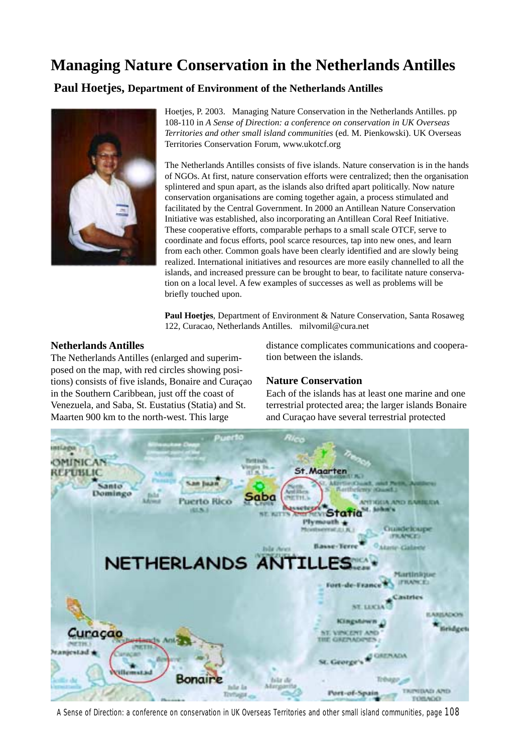# **Managing Nature Conservation in the Netherlands Antilles**

 **Paul Hoetjes, Department of Environment of the Netherlands Antilles**



Hoetjes, P. 2003. Managing Nature Conservation in the Netherlands Antilles. pp 108-110 in *A Sense of Direction: a conference on conservation in UK Overseas Territories and other small island communities* (ed. M. Pienkowski). UK Overseas Territories Conservation Forum, www.ukotcf.org

The Netherlands Antilles consists of five islands. Nature conservation is in the hands of NGOs. At first, nature conservation efforts were centralized; then the organisation splintered and spun apart, as the islands also drifted apart politically. Now nature conservation organisations are coming together again, a process stimulated and facilitated by the Central Government. In 2000 an Antillean Nature Conservation Initiative was established, also incorporating an Antillean Coral Reef Initiative. These cooperative efforts, comparable perhaps to a small scale OTCF, serve to coordinate and focus efforts, pool scarce resources, tap into new ones, and learn from each other. Common goals have been clearly identified and are slowly being realized. International initiatives and resources are more easily channelled to all the islands, and increased pressure can be brought to bear, to facilitate nature conservation on a local level. A few examples of successes as well as problems will be briefly touched upon.

**Paul Hoetjes**, Department of Environment & Nature Conservation, Santa Rosaweg 122, Curacao, Netherlands Antilles. milvomil@cura.net

#### **Netherlands Antilles**

The Netherlands Antilles (enlarged and superimposed on the map, with red circles showing positions) consists of five islands, Bonaire and Curaçao in the Southern Caribbean, just off the coast of Venezuela, and Saba, St. Eustatius (Statia) and St. Maarten 900 km to the north-west. This large

distance complicates communications and cooperation between the islands.

## **Nature Conservation**

Each of the islands has at least one marine and one terrestrial protected area; the larger islands Bonaire and Curaçao have several terrestrial protected

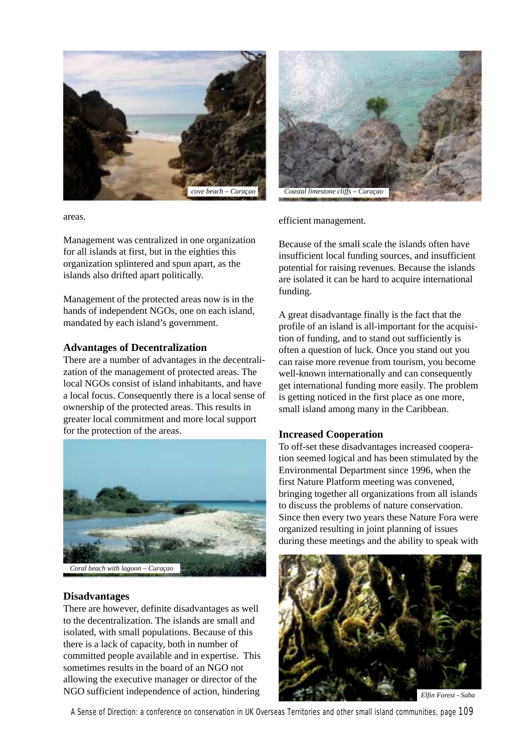

areas.

Management was centralized in one organization for all islands at first, but in the eighties this organization splintered and spun apart, as the islands also drifted apart politically.

Management of the protected areas now is in the hands of independent NGOs, one on each island, mandated by each island's government.

#### **Advantages of Decentralization**

There are a number of advantages in the decentralization of the management of protected areas. The local NGOs consist of island inhabitants, and have a local focus. Consequently there is a local sense of ownership of the protected areas. This results in greater local commitment and more local support for the protection of the areas.



#### **Disadvantages**

There are however, definite disadvantages as well to the decentralization. The islands are small and isolated, with small populations. Because of this there is a lack of capacity, both in number of committed people available and in expertise. This sometimes results in the board of an NGO not allowing the executive manager or director of the NGO sufficient independence of action, hindering



efficient management.

Because of the small scale the islands often have insufficient local funding sources, and insufficient potential for raising revenues. Because the islands are isolated it can be hard to acquire international funding.

A great disadvantage finally is the fact that the profile of an island is all-important for the acquisition of funding, and to stand out sufficiently is often a question of luck. Once you stand out you can raise more revenue from tourism, you become well-known internationally and can consequently get international funding more easily. The problem is getting noticed in the first place as one more, small island among many in the Caribbean.

## **Increased Cooperation**

To off-set these disadvantages increased cooperation seemed logical and has been stimulated by the Environmental Department since 1996, when the first Nature Platform meeting was convened, bringing together all organizations from all islands to discuss the problems of nature conservation. Since then every two years these Nature Fora were organized resulting in joint planning of issues during these meetings and the ability to speak with